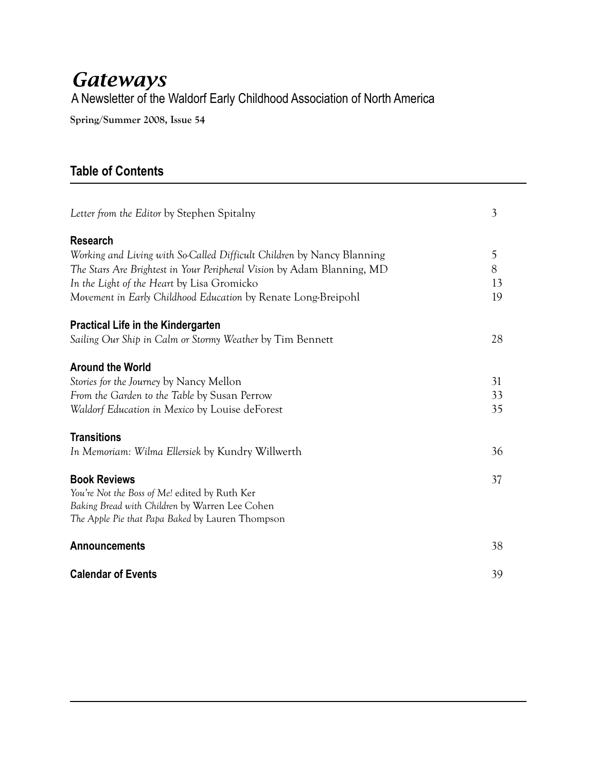# *Gateways* A Newsletter of the Waldorf Early Childhood Association of North America

**Spring/Summer 2008, Issue 54**

## **Table of Contents**

| Letter from the Editor by Stephen Spitalny                             | 3  |
|------------------------------------------------------------------------|----|
| <b>Research</b>                                                        |    |
| Working and Living with So-Called Difficult Children by Nancy Blanning | 5  |
| The Stars Are Brightest in Your Peripheral Vision by Adam Blanning, MD | 8  |
| In the Light of the Heart by Lisa Gromicko                             | 13 |
| Movement in Early Childhood Education by Renate Long-Breipohl          | 19 |
| <b>Practical Life in the Kindergarten</b>                              |    |
| Sailing Our Ship in Calm or Stormy Weather by Tim Bennett              | 28 |
| <b>Around the World</b>                                                |    |
| Stories for the Journey by Nancy Mellon                                | 31 |
| From the Garden to the Table by Susan Perrow                           | 33 |
| Waldorf Education in Mexico by Louise deForest                         | 35 |
| <b>Transitions</b>                                                     |    |
| In Memoriam: Wilma Ellersiek by Kundry Willwerth                       | 36 |
| <b>Book Reviews</b>                                                    | 37 |
| You're Not the Boss of Me! edited by Ruth Ker                          |    |
| Baking Bread with Children by Warren Lee Cohen                         |    |
| The Apple Pie that Papa Baked by Lauren Thompson                       |    |
| <b>Announcements</b>                                                   | 38 |
| <b>Calendar of Events</b>                                              | 39 |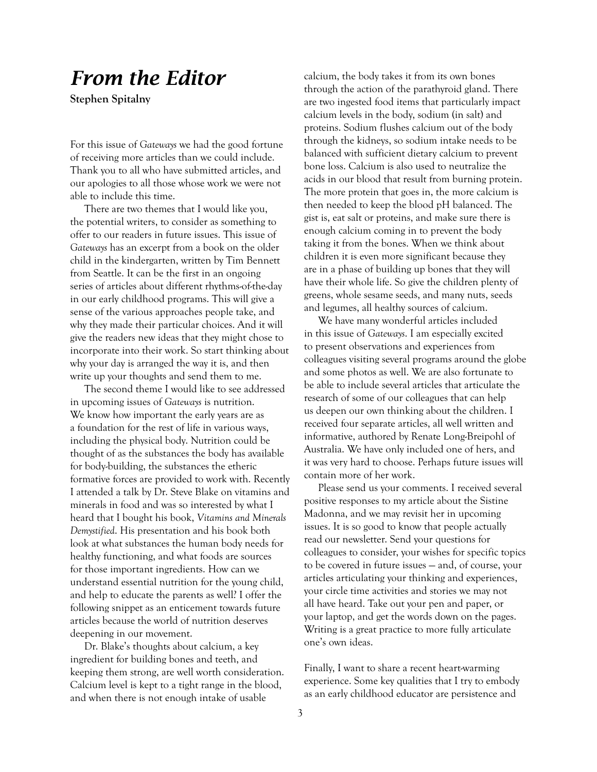# *From the Editor*

**Stephen Spitalny**

For this issue of *Gateways* we had the good fortune of receiving more articles than we could include. Thank you to all who have submitted articles, and our apologies to all those whose work we were not able to include this time.

There are two themes that I would like you, the potential writers, to consider as something to offer to our readers in future issues. This issue of *Gateways* has an excerpt from a book on the older child in the kindergarten, written by Tim Bennett from Seattle. It can be the first in an ongoing series of articles about different rhythms-of-the-day in our early childhood programs. This will give a sense of the various approaches people take, and why they made their particular choices. And it will give the readers new ideas that they might chose to incorporate into their work. So start thinking about why your day is arranged the way it is, and then write up your thoughts and send them to me.

The second theme I would like to see addressed in upcoming issues of *Gateways* is nutrition. We know how important the early years are as a foundation for the rest of life in various ways, including the physical body. Nutrition could be thought of as the substances the body has available for body-building, the substances the etheric formative forces are provided to work with. Recently I attended a talk by Dr. Steve Blake on vitamins and minerals in food and was so interested by what I heard that I bought his book, *Vitamins and Minerals Demystified*. His presentation and his book both look at what substances the human body needs for healthy functioning, and what foods are sources for those important ingredients. How can we understand essential nutrition for the young child, and help to educate the parents as well? I offer the following snippet as an enticement towards future articles because the world of nutrition deserves deepening in our movement.

Dr. Blake's thoughts about calcium, a key ingredient for building bones and teeth, and keeping them strong, are well worth consideration. Calcium level is kept to a tight range in the blood, and when there is not enough intake of usable

calcium, the body takes it from its own bones through the action of the parathyroid gland. There are two ingested food items that particularly impact calcium levels in the body, sodium (in salt) and proteins. Sodium flushes calcium out of the body through the kidneys, so sodium intake needs to be balanced with sufficient dietary calcium to prevent bone loss. Calcium is also used to neutralize the acids in our blood that result from burning protein. The more protein that goes in, the more calcium is then needed to keep the blood pH balanced. The gist is, eat salt or proteins, and make sure there is enough calcium coming in to prevent the body taking it from the bones. When we think about children it is even more significant because they are in a phase of building up bones that they will have their whole life. So give the children plenty of greens, whole sesame seeds, and many nuts, seeds and legumes, all healthy sources of calcium.

We have many wonderful articles included in this issue of *Gateways*. I am especially excited to present observations and experiences from colleagues visiting several programs around the globe and some photos as well. We are also fortunate to be able to include several articles that articulate the research of some of our colleagues that can help us deepen our own thinking about the children. I received four separate articles, all well written and informative, authored by Renate Long-Breipohl of Australia. We have only included one of hers, and it was very hard to choose. Perhaps future issues will contain more of her work.

Please send us your comments. I received several positive responses to my article about the Sistine Madonna, and we may revisit her in upcoming issues. It is so good to know that people actually read our newsletter. Send your questions for colleagues to consider, your wishes for specific topics to be covered in future issues — and, of course, your articles articulating your thinking and experiences, your circle time activities and stories we may not all have heard. Take out your pen and paper, or your laptop, and get the words down on the pages. Writing is a great practice to more fully articulate one's own ideas.

Finally, I want to share a recent heart-warming experience. Some key qualities that I try to embody as an early childhood educator are persistence and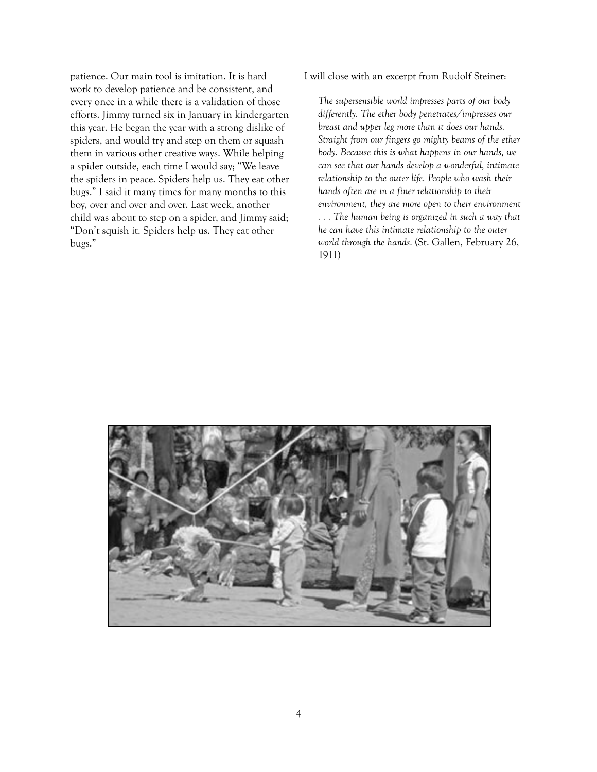patience. Our main tool is imitation. It is hard work to develop patience and be consistent, and every once in a while there is a validation of those efforts. Jimmy turned six in January in kindergarten this year. He began the year with a strong dislike of spiders, and would try and step on them or squash them in various other creative ways. While helping a spider outside, each time I would say; "We leave the spiders in peace. Spiders help us. They eat other bugs." I said it many times for many months to this boy, over and over and over. Last week, another child was about to step on a spider, and Jimmy said; "Don't squish it. Spiders help us. They eat other bugs."

I will close with an excerpt from Rudolf Steiner:

*The supersensible world impresses parts of our body differently. The ether body penetrates/impresses our breast and upper leg more than it does our hands. Straight from our fingers go mighty beams of the ether body. Because this is what happens in our hands, we can see that our hands develop a wonderful, intimate relationship to the outer life. People who wash their hands often are in a finer relationship to their environment, they are more open to their environment . . . The human being is organized in such a way that he can have this intimate relationship to the outer world through the hands.* (St. Gallen, February 26, 1911)

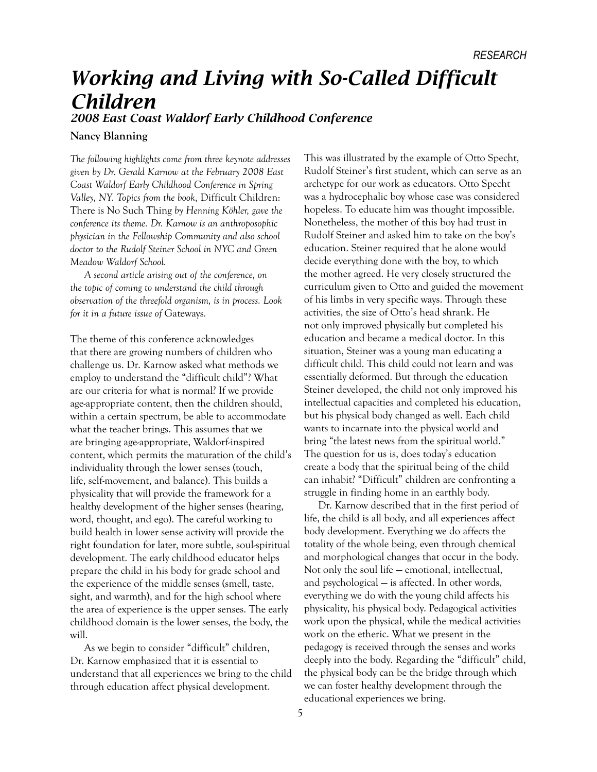# *Working and Living with So-Called Difficult Children*

*2008 East Coast Waldorf Early Childhood Conference*

#### **Nancy Blanning**

*The following highlights come from three keynote addresses given by Dr. Gerald Karnow at the February 2008 East Coast Waldorf Early Childhood Conference in Spring Valley, NY. Topics from the book,* Difficult Children: There is No Such Thing *by Henning Köhler, gave the conference its theme. Dr. Karnow is an anthroposophic physician in the Fellowship Community and also school doctor to the Rudolf Steiner School in NYC and Green Meadow Waldorf School.*

*A second article arising out of the conference, on the topic of coming to understand the child through observation of the threefold organism, is in process. Look for it in a future issue of* Gateways*.*

The theme of this conference acknowledges that there are growing numbers of children who challenge us. Dr. Karnow asked what methods we employ to understand the "difficult child"? What are our criteria for what is normal? If we provide age-appropriate content, then the children should, within a certain spectrum, be able to accommodate what the teacher brings. This assumes that we are bringing age-appropriate, Waldorf-inspired content, which permits the maturation of the child's individuality through the lower senses (touch, life, self-movement, and balance). This builds a physicality that will provide the framework for a healthy development of the higher senses (hearing, word, thought, and ego). The careful working to build health in lower sense activity will provide the right foundation for later, more subtle, soul-spiritual development. The early childhood educator helps prepare the child in his body for grade school and the experience of the middle senses (smell, taste, sight, and warmth), and for the high school where the area of experience is the upper senses. The early childhood domain is the lower senses, the body, the will.

As we begin to consider "difficult" children, Dr. Karnow emphasized that it is essential to understand that all experiences we bring to the child through education affect physical development.

This was illustrated by the example of Otto Specht, Rudolf Steiner's first student, which can serve as an archetype for our work as educators. Otto Specht was a hydrocephalic boy whose case was considered hopeless. To educate him was thought impossible. Nonetheless, the mother of this boy had trust in Rudolf Steiner and asked him to take on the boy's education. Steiner required that he alone would decide everything done with the boy, to which the mother agreed. He very closely structured the curriculum given to Otto and guided the movement of his limbs in very specific ways. Through these activities, the size of Otto's head shrank. He not only improved physically but completed his education and became a medical doctor. In this situation, Steiner was a young man educating a difficult child. This child could not learn and was essentially deformed. But through the education Steiner developed, the child not only improved his intellectual capacities and completed his education, but his physical body changed as well. Each child wants to incarnate into the physical world and bring "the latest news from the spiritual world." The question for us is, does today's education create a body that the spiritual being of the child can inhabit? "Difficult" children are confronting a struggle in finding home in an earthly body.

Dr. Karnow described that in the first period of life, the child is all body, and all experiences affect body development. Everything we do affects the totality of the whole being, even through chemical and morphological changes that occur in the body. Not only the soul life — emotional, intellectual, and psychological — is affected. In other words, everything we do with the young child affects his physicality, his physical body. Pedagogical activities work upon the physical, while the medical activities work on the etheric. What we present in the pedagogy is received through the senses and works deeply into the body. Regarding the "difficult" child, the physical body can be the bridge through which we can foster healthy development through the educational experiences we bring.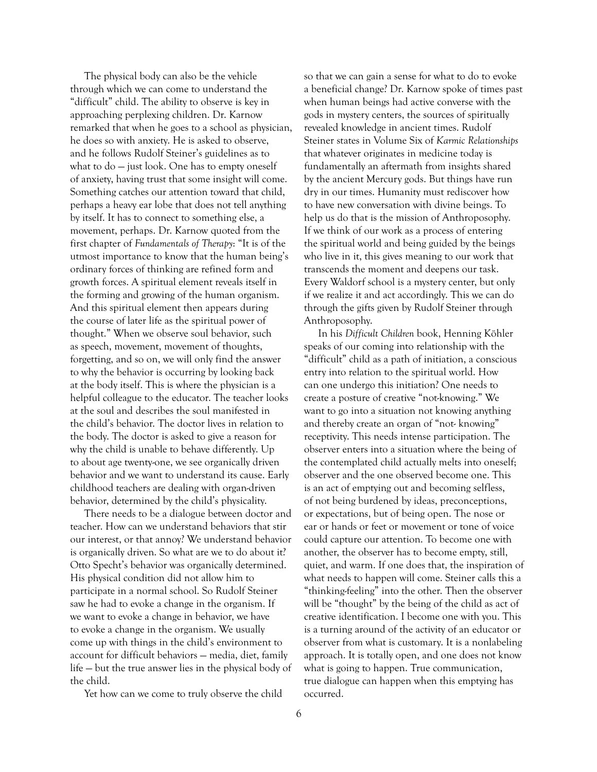The physical body can also be the vehicle through which we can come to understand the "difficult" child. The ability to observe is key in approaching perplexing children. Dr. Karnow remarked that when he goes to a school as physician, he does so with anxiety. He is asked to observe, and he follows Rudolf Steiner's guidelines as to what to do — just look. One has to empty oneself of anxiety, having trust that some insight will come. Something catches our attention toward that child, perhaps a heavy ear lobe that does not tell anything by itself. It has to connect to something else, a movement, perhaps. Dr. Karnow quoted from the first chapter of *Fundamentals of Therapy*: "It is of the utmost importance to know that the human being's ordinary forces of thinking are refined form and growth forces. A spiritual element reveals itself in the forming and growing of the human organism. And this spiritual element then appears during the course of later life as the spiritual power of thought." When we observe soul behavior, such as speech, movement, movement of thoughts, forgetting, and so on, we will only find the answer to why the behavior is occurring by looking back at the body itself. This is where the physician is a helpful colleague to the educator. The teacher looks at the soul and describes the soul manifested in the child's behavior. The doctor lives in relation to the body. The doctor is asked to give a reason for why the child is unable to behave differently. Up to about age twenty-one, we see organically driven behavior and we want to understand its cause. Early childhood teachers are dealing with organ-driven behavior, determined by the child's physicality.

There needs to be a dialogue between doctor and teacher. How can we understand behaviors that stir our interest, or that annoy? We understand behavior is organically driven. So what are we to do about it? Otto Specht's behavior was organically determined. His physical condition did not allow him to participate in a normal school. So Rudolf Steiner saw he had to evoke a change in the organism. If we want to evoke a change in behavior, we have to evoke a change in the organism. We usually come up with things in the child's environment to account for difficult behaviors — media, diet, family life — but the true answer lies in the physical body of the child.

Yet how can we come to truly observe the child

so that we can gain a sense for what to do to evoke a beneficial change? Dr. Karnow spoke of times past when human beings had active converse with the gods in mystery centers, the sources of spiritually revealed knowledge in ancient times. Rudolf Steiner states in Volume Six of *Karmic Relationships*  that whatever originates in medicine today is fundamentally an aftermath from insights shared by the ancient Mercury gods. But things have run dry in our times. Humanity must rediscover how to have new conversation with divine beings. To help us do that is the mission of Anthroposophy. If we think of our work as a process of entering the spiritual world and being guided by the beings who live in it, this gives meaning to our work that transcends the moment and deepens our task. Every Waldorf school is a mystery center, but only if we realize it and act accordingly. This we can do through the gifts given by Rudolf Steiner through Anthroposophy.

In his *Difficult Children* book, Henning Köhler speaks of our coming into relationship with the "difficult" child as a path of initiation, a conscious entry into relation to the spiritual world. How can one undergo this initiation? One needs to create a posture of creative "not-knowing." We want to go into a situation not knowing anything and thereby create an organ of "not- knowing" receptivity. This needs intense participation. The observer enters into a situation where the being of the contemplated child actually melts into oneself; observer and the one observed become one. This is an act of emptying out and becoming selfless, of not being burdened by ideas, preconceptions, or expectations, but of being open. The nose or ear or hands or feet or movement or tone of voice could capture our attention. To become one with another, the observer has to become empty, still, quiet, and warm. If one does that, the inspiration of what needs to happen will come. Steiner calls this a "thinking-feeling" into the other. Then the observer will be "thought" by the being of the child as act of creative identification. I become one with you. This is a turning around of the activity of an educator or observer from what is customary. It is a nonlabeling approach. It is totally open, and one does not know what is going to happen. True communication, true dialogue can happen when this emptying has occurred.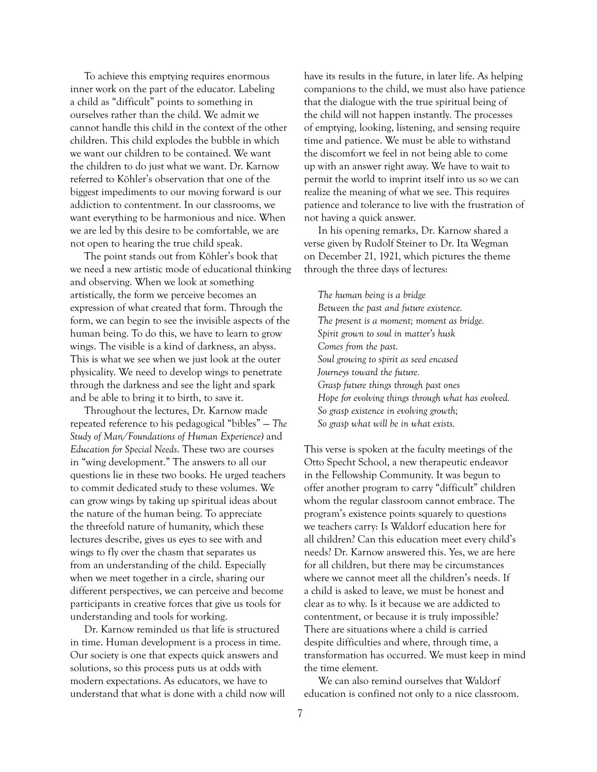To achieve this emptying requires enormous inner work on the part of the educator. Labeling a child as "difficult" points to something in ourselves rather than the child. We admit we cannot handle this child in the context of the other children. This child explodes the bubble in which we want our children to be contained. We want the children to do just what we want. Dr. Karnow referred to Köhler's observation that one of the biggest impediments to our moving forward is our addiction to contentment. In our classrooms, we want everything to be harmonious and nice. When we are led by this desire to be comfortable, we are not open to hearing the true child speak.

The point stands out from Köhler's book that we need a new artistic mode of educational thinking and observing. When we look at something artistically, the form we perceive becomes an expression of what created that form. Through the form, we can begin to see the invisible aspects of the human being. To do this, we have to learn to grow wings. The visible is a kind of darkness, an abyss. This is what we see when we just look at the outer physicality. We need to develop wings to penetrate through the darkness and see the light and spark and be able to bring it to birth, to save it.

Throughout the lectures, Dr. Karnow made repeated reference to his pedagogical "bibles" — *The Study of Man/Foundations of Human Experience)* and *Education for Special Needs*. These two are courses in "wing development." The answers to all our questions lie in these two books. He urged teachers to commit dedicated study to these volumes. We can grow wings by taking up spiritual ideas about the nature of the human being. To appreciate the threefold nature of humanity, which these lectures describe, gives us eyes to see with and wings to fly over the chasm that separates us from an understanding of the child. Especially when we meet together in a circle, sharing our different perspectives, we can perceive and become participants in creative forces that give us tools for understanding and tools for working.

Dr. Karnow reminded us that life is structured in time. Human development is a process in time. Our society is one that expects quick answers and solutions, so this process puts us at odds with modern expectations. As educators, we have to understand that what is done with a child now will have its results in the future, in later life. As helping companions to the child, we must also have patience that the dialogue with the true spiritual being of the child will not happen instantly. The processes of emptying, looking, listening, and sensing require time and patience. We must be able to withstand the discomfort we feel in not being able to come up with an answer right away. We have to wait to permit the world to imprint itself into us so we can realize the meaning of what we see. This requires patience and tolerance to live with the frustration of not having a quick answer.

In his opening remarks, Dr. Karnow shared a verse given by Rudolf Steiner to Dr. Ita Wegman on December 21, 1921, which pictures the theme through the three days of lectures:

*The human being is a bridge Between the past and future existence. The present is a moment; moment as bridge. Spirit grown to soul in matter's husk Comes from the past. Soul growing to spirit as seed encased Journeys toward the future. Grasp future things through past ones Hope for evolving things through what has evolved. So grasp existence in evolving growth; So grasp what will be in what exists.*

This verse is spoken at the faculty meetings of the Otto Specht School, a new therapeutic endeavor in the Fellowship Community. It was begun to offer another program to carry "difficult" children whom the regular classroom cannot embrace. The program's existence points squarely to questions we teachers carry: Is Waldorf education here for all children? Can this education meet every child's needs? Dr. Karnow answered this. Yes, we are here for all children, but there may be circumstances where we cannot meet all the children's needs. If a child is asked to leave, we must be honest and clear as to why. Is it because we are addicted to contentment, or because it is truly impossible? There are situations where a child is carried despite difficulties and where, through time, a transformation has occurred. We must keep in mind the time element.

We can also remind ourselves that Waldorf education is confined not only to a nice classroom.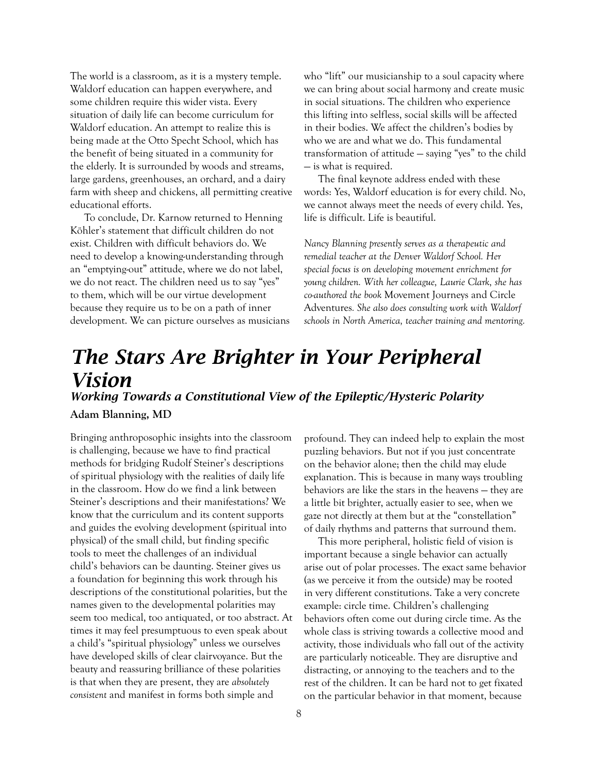The world is a classroom, as it is a mystery temple. Waldorf education can happen everywhere, and some children require this wider vista. Every situation of daily life can become curriculum for Waldorf education. An attempt to realize this is being made at the Otto Specht School, which has the benefit of being situated in a community for the elderly. It is surrounded by woods and streams, large gardens, greenhouses, an orchard, and a dairy farm with sheep and chickens, all permitting creative educational efforts.

To conclude, Dr. Karnow returned to Henning Köhler's statement that difficult children do not exist. Children with difficult behaviors do. We need to develop a knowing-understanding through an "emptying-out" attitude, where we do not label, we do not react. The children need us to say "yes" to them, which will be our virtue development because they require us to be on a path of inner development. We can picture ourselves as musicians

who "lift" our musicianship to a soul capacity where we can bring about social harmony and create music in social situations. The children who experience this lifting into selfless, social skills will be affected in their bodies. We affect the children's bodies by who we are and what we do. This fundamental transformation of attitude — saying "yes" to the child — is what is required.

The final keynote address ended with these words: Yes, Waldorf education is for every child. No, we cannot always meet the needs of every child. Yes, life is difficult. Life is beautiful.

*Nancy Blanning presently serves as a therapeutic and remedial teacher at the Denver Waldorf School. Her special focus is on developing movement enrichment for young children. With her colleague, Laurie Clark, she has co-authored the book* Movement Journeys and Circle Adventures*. She also does consulting work with Waldorf schools in North America, teacher training and mentoring.* 

## *The Stars Are Brighter in Your Peripheral Vision Working Towards a Constitutional View of the Epileptic/Hysteric Polarity* **Adam Blanning, MD**

Bringing anthroposophic insights into the classroom is challenging, because we have to find practical methods for bridging Rudolf Steiner's descriptions of spiritual physiology with the realities of daily life in the classroom. How do we find a link between Steiner's descriptions and their manifestations? We know that the curriculum and its content supports and guides the evolving development (spiritual into physical) of the small child, but finding specific tools to meet the challenges of an individual child's behaviors can be daunting. Steiner gives us a foundation for beginning this work through his descriptions of the constitutional polarities, but the names given to the developmental polarities may seem too medical, too antiquated, or too abstract. At times it may feel presumptuous to even speak about a child's "spiritual physiology" unless we ourselves have developed skills of clear clairvoyance. But the beauty and reassuring brilliance of these polarities is that when they are present, they are *absolutely consistent* and manifest in forms both simple and

profound. They can indeed help to explain the most puzzling behaviors. But not if you just concentrate on the behavior alone; then the child may elude explanation. This is because in many ways troubling behaviors are like the stars in the heavens — they are a little bit brighter, actually easier to see, when we gaze not directly at them but at the "constellation" of daily rhythms and patterns that surround them.

This more peripheral, holistic field of vision is important because a single behavior can actually arise out of polar processes. The exact same behavior (as we perceive it from the outside) may be rooted in very different constitutions. Take a very concrete example: circle time. Children's challenging behaviors often come out during circle time. As the whole class is striving towards a collective mood and activity, those individuals who fall out of the activity are particularly noticeable. They are disruptive and distracting, or annoying to the teachers and to the rest of the children. It can be hard not to get fixated on the particular behavior in that moment, because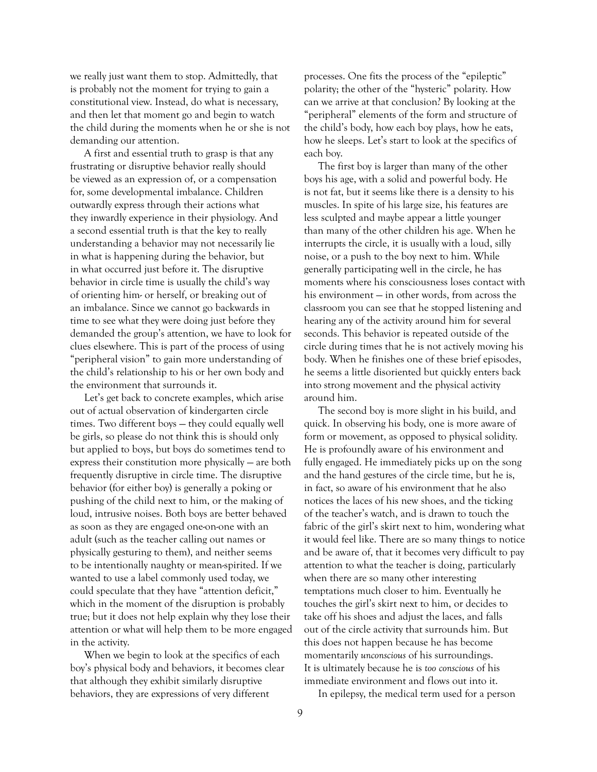we really just want them to stop. Admittedly, that is probably not the moment for trying to gain a constitutional view. Instead, do what is necessary, and then let that moment go and begin to watch the child during the moments when he or she is not demanding our attention.

A first and essential truth to grasp is that any frustrating or disruptive behavior really should be viewed as an expression of, or a compensation for, some developmental imbalance. Children outwardly express through their actions what they inwardly experience in their physiology. And a second essential truth is that the key to really understanding a behavior may not necessarily lie in what is happening during the behavior, but in what occurred just before it. The disruptive behavior in circle time is usually the child's way of orienting him- or herself, or breaking out of an imbalance. Since we cannot go backwards in time to see what they were doing just before they demanded the group's attention, we have to look for clues elsewhere. This is part of the process of using "peripheral vision" to gain more understanding of the child's relationship to his or her own body and the environment that surrounds it.

Let's get back to concrete examples, which arise out of actual observation of kindergarten circle times. Two different boys — they could equally well be girls, so please do not think this is should only but applied to boys, but boys do sometimes tend to express their constitution more physically — are both frequently disruptive in circle time. The disruptive behavior (for either boy) is generally a poking or pushing of the child next to him, or the making of loud, intrusive noises. Both boys are better behaved as soon as they are engaged one-on-one with an adult (such as the teacher calling out names or physically gesturing to them), and neither seems to be intentionally naughty or mean-spirited. If we wanted to use a label commonly used today, we could speculate that they have "attention deficit," which in the moment of the disruption is probably true; but it does not help explain why they lose their attention or what will help them to be more engaged in the activity.

When we begin to look at the specifics of each boy's physical body and behaviors, it becomes clear that although they exhibit similarly disruptive behaviors, they are expressions of very different

processes. One fits the process of the "epileptic" polarity; the other of the "hysteric" polarity. How can we arrive at that conclusion? By looking at the "peripheral" elements of the form and structure of the child's body, how each boy plays, how he eats, how he sleeps. Let's start to look at the specifics of each boy.

The first boy is larger than many of the other boys his age, with a solid and powerful body. He is not fat, but it seems like there is a density to his muscles. In spite of his large size, his features are less sculpted and maybe appear a little younger than many of the other children his age. When he interrupts the circle, it is usually with a loud, silly noise, or a push to the boy next to him. While generally participating well in the circle, he has moments where his consciousness loses contact with his environment — in other words, from across the classroom you can see that he stopped listening and hearing any of the activity around him for several seconds. This behavior is repeated outside of the circle during times that he is not actively moving his body. When he finishes one of these brief episodes, he seems a little disoriented but quickly enters back into strong movement and the physical activity around him.

The second boy is more slight in his build, and quick. In observing his body, one is more aware of form or movement, as opposed to physical solidity. He is profoundly aware of his environment and fully engaged. He immediately picks up on the song and the hand gestures of the circle time, but he is, in fact, so aware of his environment that he also notices the laces of his new shoes, and the ticking of the teacher's watch, and is drawn to touch the fabric of the girl's skirt next to him, wondering what it would feel like. There are so many things to notice and be aware of, that it becomes very difficult to pay attention to what the teacher is doing, particularly when there are so many other interesting temptations much closer to him. Eventually he touches the girl's skirt next to him, or decides to take off his shoes and adjust the laces, and falls out of the circle activity that surrounds him. But this does not happen because he has become momentarily *unconscious* of his surroundings. It is ultimately because he is *too conscious* of his immediate environment and flows out into it.

In epilepsy, the medical term used for a person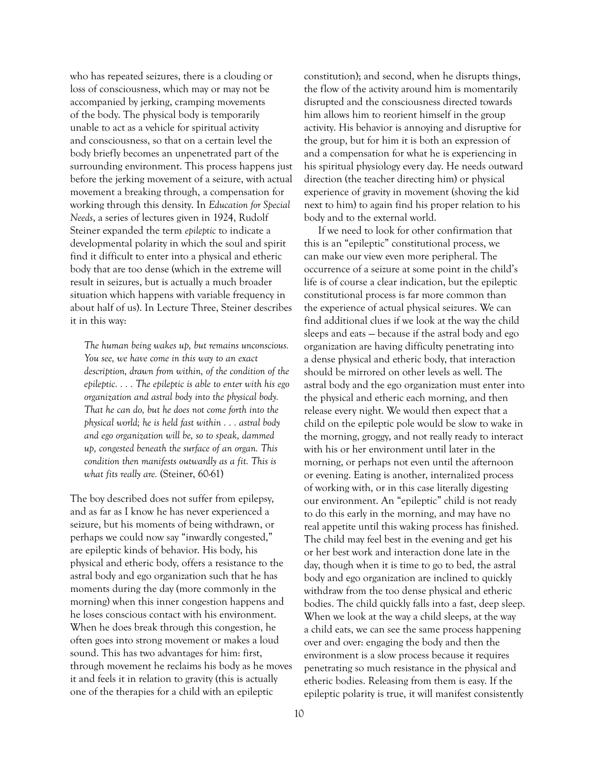who has repeated seizures, there is a clouding or loss of consciousness, which may or may not be accompanied by jerking, cramping movements of the body. The physical body is temporarily unable to act as a vehicle for spiritual activity and consciousness, so that on a certain level the body briefly becomes an unpenetrated part of the surrounding environment. This process happens just before the jerking movement of a seizure, with actual movement a breaking through, a compensation for working through this density. In *Education for Special Needs*, a series of lectures given in 1924, Rudolf Steiner expanded the term *epileptic* to indicate a developmental polarity in which the soul and spirit find it difficult to enter into a physical and etheric body that are too dense (which in the extreme will result in seizures, but is actually a much broader situation which happens with variable frequency in about half of us). In Lecture Three, Steiner describes it in this way:

*The human being wakes up, but remains unconscious. You see, we have come in this way to an exact description, drawn from within, of the condition of the epileptic. . . . The epileptic is able to enter with his ego organization and astral body into the physical body. That he can do, but he does not come forth into the physical world; he is held fast within . . . astral body and ego organization will be, so to speak, dammed up, congested beneath the surface of an organ. This condition then manifests outwardly as a fit. This is what fits really are.* (Steiner, 60-61)

The boy described does not suffer from epilepsy, and as far as I know he has never experienced a seizure, but his moments of being withdrawn, or perhaps we could now say "inwardly congested," are epileptic kinds of behavior. His body, his physical and etheric body, offers a resistance to the astral body and ego organization such that he has moments during the day (more commonly in the morning) when this inner congestion happens and he loses conscious contact with his environment. When he does break through this congestion, he often goes into strong movement or makes a loud sound. This has two advantages for him: first, through movement he reclaims his body as he moves it and feels it in relation to gravity (this is actually one of the therapies for a child with an epileptic

constitution); and second, when he disrupts things, the flow of the activity around him is momentarily disrupted and the consciousness directed towards him allows him to reorient himself in the group activity. His behavior is annoying and disruptive for the group, but for him it is both an expression of and a compensation for what he is experiencing in his spiritual physiology every day. He needs outward direction (the teacher directing him) or physical experience of gravity in movement (shoving the kid next to him) to again find his proper relation to his body and to the external world.

If we need to look for other confirmation that this is an "epileptic" constitutional process, we can make our view even more peripheral. The occurrence of a seizure at some point in the child's life is of course a clear indication, but the epileptic constitutional process is far more common than the experience of actual physical seizures. We can find additional clues if we look at the way the child sleeps and eats — because if the astral body and ego organization are having difficulty penetrating into a dense physical and etheric body, that interaction should be mirrored on other levels as well. The astral body and the ego organization must enter into the physical and etheric each morning, and then release every night. We would then expect that a child on the epileptic pole would be slow to wake in the morning, groggy, and not really ready to interact with his or her environment until later in the morning, or perhaps not even until the afternoon or evening. Eating is another, internalized process of working with, or in this case literally digesting our environment. An "epileptic" child is not ready to do this early in the morning, and may have no real appetite until this waking process has finished. The child may feel best in the evening and get his or her best work and interaction done late in the day, though when it is time to go to bed, the astral body and ego organization are inclined to quickly withdraw from the too dense physical and etheric bodies. The child quickly falls into a fast, deep sleep. When we look at the way a child sleeps, at the way a child eats, we can see the same process happening over and over: engaging the body and then the environment is a slow process because it requires penetrating so much resistance in the physical and etheric bodies. Releasing from them is easy. If the epileptic polarity is true, it will manifest consistently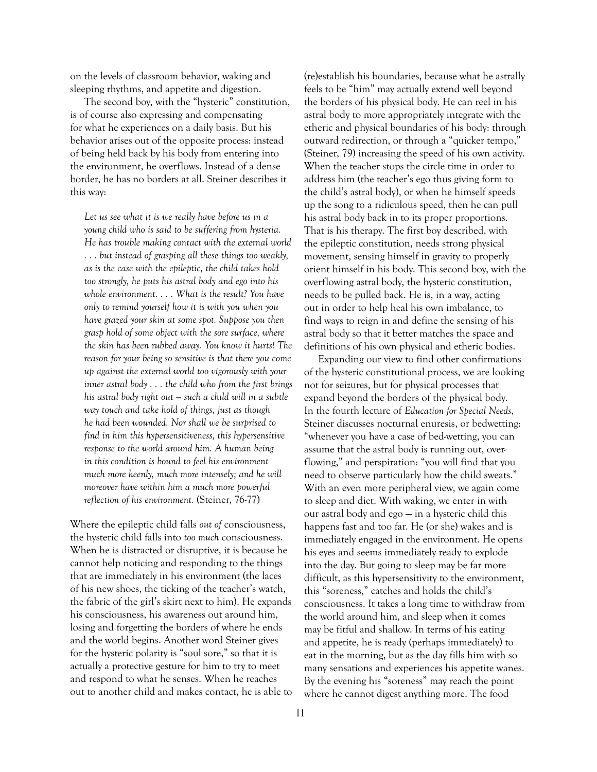on the levels of classroom behavior, waking and sleeping rhythms, and appetite and digestion.

The second boy, with the "hysteric" constitution, is of course also expressing and compensating for what he experiences on a daily basis. But his behavior arises out of the opposite process: instead of being held back by his body from entering into the environment, he overflows. Instead of a dense border, he has no borders at all. Steiner describes it this way:

*Let us see what it is we really have before us in a young child who is said to be suffering from hysteria. He has trouble making contact with the external world . . . but instead of grasping all these things too weakly, as is the case with the epileptic, the child takes hold too strongly, he puts his astral body and ego into his whole environment. . . . What is the result? You have only to remind yourself how it is with you when you have grazed your skin at some spot. Suppose you then grasp hold of some object with the sore surface, where the skin has been rubbed away. You know it hurts! The reason for your being so sensitive is that there you come up against the external world too vigorously with your inner astral body . . . the child who from the first brings his astral body right out — such a child will in a subtle way touch and take hold of things, just as though he had been wounded. Nor shall we be surprised to find in him this hypersensitiveness, this hypersensitive response to the world around him. A human being in this condition is bound to feel his environment much more keenly, much more intensely; and he will moreover have within him a much more powerful reflection of his environment.* (Steiner, 76-77)

Where the epileptic child falls *out of* consciousness, the hysteric child falls into *too much* consciousness. When he is distracted or disruptive, it is because he cannot help noticing and responding to the things that are immediately in his environment (the laces of his new shoes, the ticking of the teacher's watch, the fabric of the girl's skirt next to him). He expands his consciousness, his awareness out around him, losing and forgetting the borders of where he ends and the world begins. Another word Steiner gives for the hysteric polarity is "soul sore," so that it is actually a protective gesture for him to try to meet and respond to what he senses. When he reaches out to another child and makes contact, he is able to

(re)establish his boundaries, because what he astrally feels to be "him" may actually extend well beyond the borders of his physical body. He can reel in his astral body to more appropriately integrate with the etheric and physical boundaries of his body: through outward redirection, or through a "quicker tempo," (Steiner, 79) increasing the speed of his own activity. When the teacher stops the circle time in order to address him (the teacher's ego thus giving form to the child's astral body), or when he himself speeds up the song to a ridiculous speed, then he can pull his astral body back in to its proper proportions. That is his therapy. The first boy described, with the epileptic constitution, needs strong physical movement, sensing himself in gravity to properly orient himself in his body. This second boy, with the overflowing astral body, the hysteric constitution, needs to be pulled back. He is, in a way, acting out in order to help heal his own imbalance, to find ways to reign in and define the sensing of his astral body so that it better matches the space and definitions of his own physical and etheric bodies.

Expanding our view to find other confirmations of the hysteric constitutional process, we are looking not for seizures, but for physical processes that expand beyond the borders of the physical body. In the fourth lecture of *Education for Special Needs*, Steiner discusses nocturnal enuresis, or bedwetting: "whenever you have a case of bed-wetting, you can assume that the astral body is running out, overflowing," and perspiration: "you will find that you need to observe particularly how the child sweats." With an even more peripheral view, we again come to sleep and diet. With waking, we enter in with our astral body and ego — in a hysteric child this happens fast and too far. He (or she) wakes and is immediately engaged in the environment. He opens his eyes and seems immediately ready to explode into the day. But going to sleep may be far more difficult, as this hypersensitivity to the environment, this "soreness," catches and holds the child's consciousness. It takes a long time to withdraw from the world around him, and sleep when it comes may be fitful and shallow. In terms of his eating and appetite, he is ready (perhaps immediately) to eat in the morning, but as the day fills him with so many sensations and experiences his appetite wanes. By the evening his "soreness" may reach the point where he cannot digest anything more. The food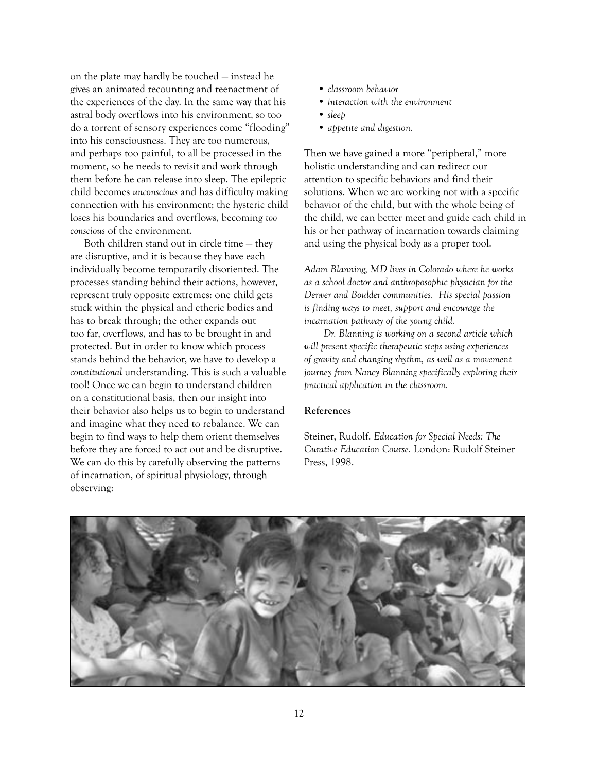on the plate may hardly be touched — instead he gives an animated recounting and reenactment of the experiences of the day. In the same way that his astral body overflows into his environment, so too do a torrent of sensory experiences come "flooding" into his consciousness. They are too numerous, and perhaps too painful, to all be processed in the moment, so he needs to revisit and work through them before he can release into sleep. The epileptic child becomes *unconscious* and has difficulty making connection with his environment; the hysteric child loses his boundaries and overflows, becoming *too conscious* of the environment.

Both children stand out in circle time — they are disruptive, and it is because they have each individually become temporarily disoriented. The processes standing behind their actions, however, represent truly opposite extremes: one child gets stuck within the physical and etheric bodies and has to break through; the other expands out too far, overflows, and has to be brought in and protected. But in order to know which process stands behind the behavior, we have to develop a *constitutional* understanding. This is such a valuable tool! Once we can begin to understand children on a constitutional basis, then our insight into their behavior also helps us to begin to understand and imagine what they need to rebalance. We can begin to find ways to help them orient themselves before they are forced to act out and be disruptive. We can do this by carefully observing the patterns of incarnation, of spiritual physiology, through observing:

- *classroom behavior*
- *interaction with the environment*
- *sleep*
- *appetite and digestion.*

Then we have gained a more "peripheral," more holistic understanding and can redirect our attention to specific behaviors and find their solutions. When we are working not with a specific behavior of the child, but with the whole being of the child, we can better meet and guide each child in his or her pathway of incarnation towards claiming and using the physical body as a proper tool.

*Adam Blanning, MD lives in Colorado where he works as a school doctor and anthroposophic physician for the Denver and Boulder communities. His special passion is finding ways to meet, support and encourage the incarnation pathway of the young child.* 

 *Dr. Blanning is working on a second article which will present specific therapeutic steps using experiences of gravity and changing rhythm, as well as a movement journey from Nancy Blanning specifically exploring their practical application in the classroom.* 

#### **References**

Steiner, Rudolf. *Education for Special Needs: The Curative Education Course.* London: Rudolf Steiner Press, 1998.

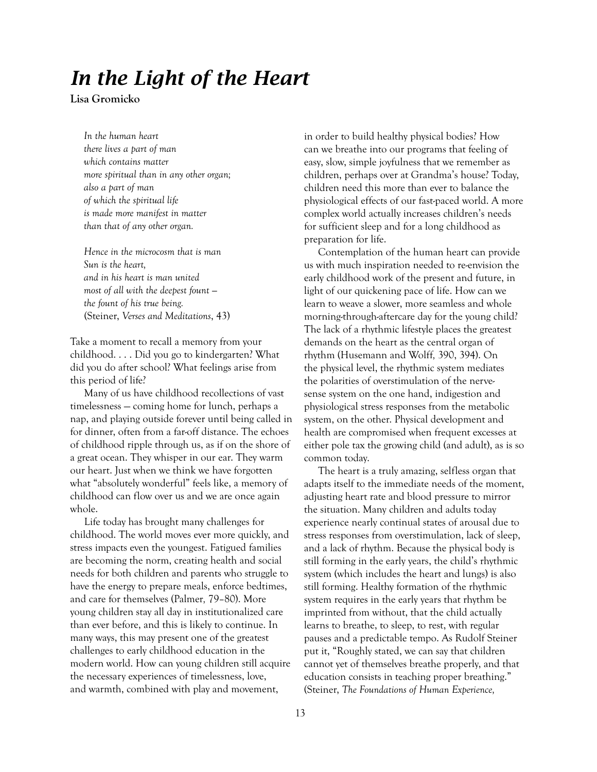# *In the Light of the Heart*

**Lisa Gromicko**

*In the human heart there lives a part of man which contains matter more spiritual than in any other organ; also a part of man of which the spiritual life is made more manifest in matter than that of any other organ.*

*Hence in the microcosm that is man Sun is the heart, and in his heart is man united most of all with the deepest fount the fount of his true being.*  (Steiner, *Verses and Meditations*, 43)

Take a moment to recall a memory from your childhood. . . . Did you go to kindergarten? What did you do after school? What feelings arise from this period of life?

Many of us have childhood recollections of vast timelessness — coming home for lunch, perhaps a nap, and playing outside forever until being called in for dinner, often from a far-off distance. The echoes of childhood ripple through us, as if on the shore of a great ocean. They whisper in our ear. They warm our heart. Just when we think we have forgotten what "absolutely wonderful" feels like, a memory of childhood can flow over us and we are once again whole.

Life today has brought many challenges for childhood. The world moves ever more quickly, and stress impacts even the youngest. Fatigued families are becoming the norm, creating health and social needs for both children and parents who struggle to have the energy to prepare meals, enforce bedtimes, and care for themselves (Palmer*,* 79–80). More young children stay all day in institutionalized care than ever before, and this is likely to continue. In many ways, this may present one of the greatest challenges to early childhood education in the modern world. How can young children still acquire the necessary experiences of timelessness, love, and warmth, combined with play and movement,

in order to build healthy physical bodies? How can we breathe into our programs that feeling of easy, slow, simple joyfulness that we remember as children, perhaps over at Grandma's house? Today, children need this more than ever to balance the physiological effects of our fast-paced world. A more complex world actually increases children's needs for sufficient sleep and for a long childhood as preparation for life.

Contemplation of the human heart can provide us with much inspiration needed to re-envision the early childhood work of the present and future, in light of our quickening pace of life. How can we learn to weave a slower, more seamless and whole morning-through-aftercare day for the young child? The lack of a rhythmic lifestyle places the greatest demands on the heart as the central organ of rhythm (Husemann and Wolff*,* 390, 394). On the physical level, the rhythmic system mediates the polarities of overstimulation of the nervesense system on the one hand, indigestion and physiological stress responses from the metabolic system, on the other. Physical development and health are compromised when frequent excesses at either pole tax the growing child (and adult), as is so common today.

The heart is a truly amazing, selfless organ that adapts itself to the immediate needs of the moment, adjusting heart rate and blood pressure to mirror the situation. Many children and adults today experience nearly continual states of arousal due to stress responses from overstimulation, lack of sleep, and a lack of rhythm. Because the physical body is still forming in the early years, the child's rhythmic system (which includes the heart and lungs) is also still forming. Healthy formation of the rhythmic system requires in the early years that rhythm be imprinted from without, that the child actually learns to breathe, to sleep, to rest, with regular pauses and a predictable tempo. As Rudolf Steiner put it, "Roughly stated, we can say that children cannot yet of themselves breathe properly, and that education consists in teaching proper breathing." (Steiner, *The Foundations of Human Experience,*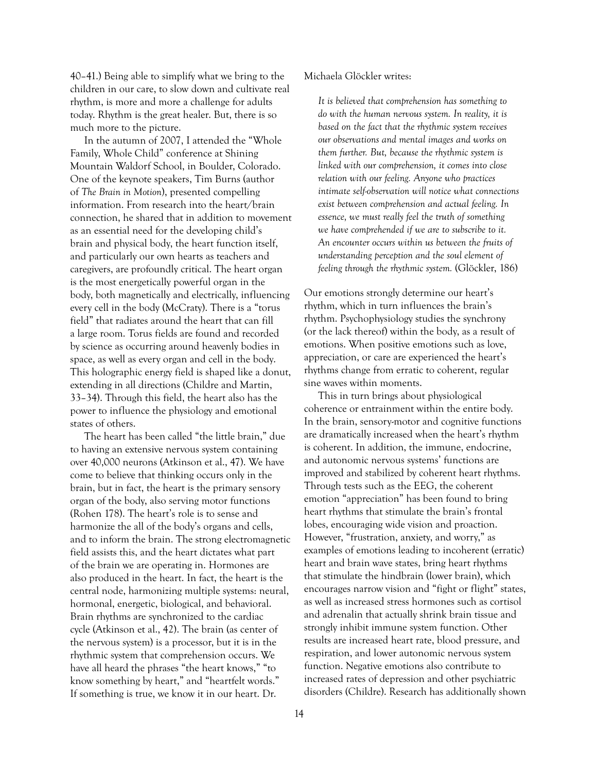40–41.) Being able to simplify what we bring to the children in our care, to slow down and cultivate real rhythm, is more and more a challenge for adults today. Rhythm is the great healer. But, there is so much more to the picture.

In the autumn of 2007, I attended the "Whole Family, Whole Child" conference at Shining Mountain Waldorf School, in Boulder, Colorado. One of the keynote speakers, Tim Burns (author of *The Brain in Motion*), presented compelling information. From research into the heart/brain connection, he shared that in addition to movement as an essential need for the developing child's brain and physical body, the heart function itself, and particularly our own hearts as teachers and caregivers, are profoundly critical. The heart organ is the most energetically powerful organ in the body, both magnetically and electrically, influencing every cell in the body (McCraty). There is a "torus field" that radiates around the heart that can fill a large room. Torus fields are found and recorded by science as occurring around heavenly bodies in space, as well as every organ and cell in the body. This holographic energy field is shaped like a donut, extending in all directions (Childre and Martin, 33–34). Through this field, the heart also has the power to influence the physiology and emotional states of others.

The heart has been called "the little brain," due to having an extensive nervous system containing over 40,000 neurons (Atkinson et al., 47). We have come to believe that thinking occurs only in the brain, but in fact, the heart is the primary sensory organ of the body, also serving motor functions (Rohen 178). The heart's role is to sense and harmonize the all of the body's organs and cells, and to inform the brain. The strong electromagnetic field assists this, and the heart dictates what part of the brain we are operating in. Hormones are also produced in the heart. In fact, the heart is the central node, harmonizing multiple systems: neural, hormonal, energetic, biological, and behavioral. Brain rhythms are synchronized to the cardiac cycle (Atkinson et al., 42). The brain (as center of the nervous system) is a processor, but it is in the rhythmic system that comprehension occurs. We have all heard the phrases "the heart knows," "to know something by heart," and "heartfelt words." If something is true, we know it in our heart. Dr.

#### Michaela Glöckler writes:

*It is believed that comprehension has something to do with the human nervous system. In reality, it is based on the fact that the rhythmic system receives our observations and mental images and works on them further. But, because the rhythmic system is linked with our comprehension, it comes into close relation with our feeling. Anyone who practices intimate self-observation will notice what connections exist between comprehension and actual feeling. In essence, we must really feel the truth of something we have comprehended if we are to subscribe to it. An encounter occurs within us between the fruits of understanding perception and the soul element of feeling through the rhythmic system.* (Glöckler, 186)

Our emotions strongly determine our heart's rhythm, which in turn influences the brain's rhythm. Psychophysiology studies the synchrony (or the lack thereof) within the body, as a result of emotions. When positive emotions such as love, appreciation, or care are experienced the heart's rhythms change from erratic to coherent, regular sine waves within moments.

This in turn brings about physiological coherence or entrainment within the entire body. In the brain, sensory-motor and cognitive functions are dramatically increased when the heart's rhythm is coherent. In addition, the immune, endocrine, and autonomic nervous systems' functions are improved and stabilized by coherent heart rhythms. Through tests such as the EEG, the coherent emotion "appreciation" has been found to bring heart rhythms that stimulate the brain's frontal lobes, encouraging wide vision and proaction. However, "frustration, anxiety, and worry," as examples of emotions leading to incoherent (erratic) heart and brain wave states, bring heart rhythms that stimulate the hindbrain (lower brain), which encourages narrow vision and "fight or flight" states, as well as increased stress hormones such as cortisol and adrenalin that actually shrink brain tissue and strongly inhibit immune system function. Other results are increased heart rate, blood pressure, and respiration, and lower autonomic nervous system function. Negative emotions also contribute to increased rates of depression and other psychiatric disorders (Childre). Research has additionally shown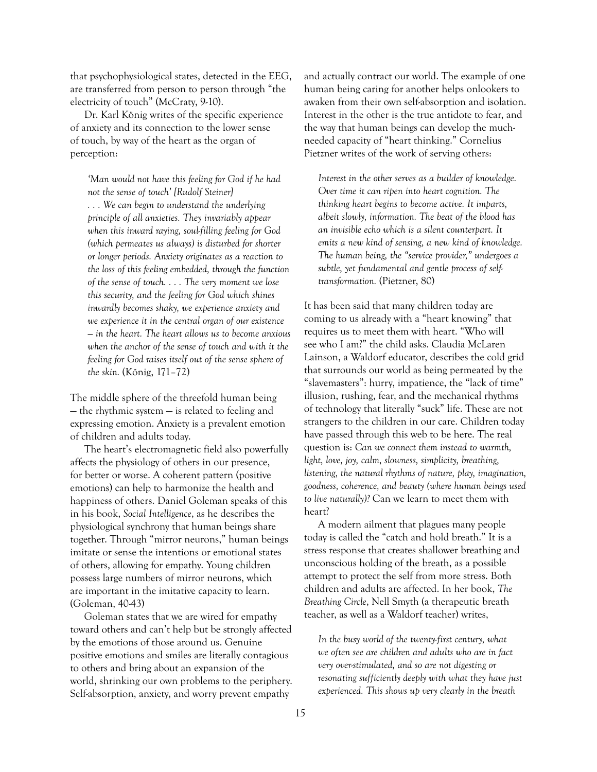that psychophysiological states, detected in the EEG, are transferred from person to person through "the electricity of touch" (McCraty, 9-10).

Dr. Karl König writes of the specific experience of anxiety and its connection to the lower sense of touch, by way of the heart as the organ of perception:

*'Man would not have this feeling for God if he had not the sense of touch' [Rudolf Steiner] . . . We can begin to understand the underlying principle of all anxieties. They invariably appear when this inward raying, soul-filling feeling for God (which permeates us always) is disturbed for shorter or longer periods. Anxiety originates as a reaction to the loss of this feeling embedded, through the function of the sense of touch. . . . The very moment we lose this security, and the feeling for God which shines inwardly becomes shaky, we experience anxiety and we experience it in the central organ of our existence — in the heart. The heart allows us to become anxious when the anchor of the sense of touch and with it the feeling for God raises itself out of the sense sphere of the skin.* (König, 171–72)

The middle sphere of the threefold human being — the rhythmic system — is related to feeling and expressing emotion. Anxiety is a prevalent emotion of children and adults today.

The heart's electromagnetic field also powerfully affects the physiology of others in our presence, for better or worse. A coherent pattern (positive emotions) can help to harmonize the health and happiness of others. Daniel Goleman speaks of this in his book, *Social Intelligence*, as he describes the physiological synchrony that human beings share together. Through "mirror neurons," human beings imitate or sense the intentions or emotional states of others, allowing for empathy. Young children possess large numbers of mirror neurons, which are important in the imitative capacity to learn. (Goleman, 40-43)

Goleman states that we are wired for empathy toward others and can't help but be strongly affected by the emotions of those around us. Genuine positive emotions and smiles are literally contagious to others and bring about an expansion of the world, shrinking our own problems to the periphery. Self-absorption, anxiety, and worry prevent empathy

and actually contract our world. The example of one human being caring for another helps onlookers to awaken from their own self-absorption and isolation. Interest in the other is the true antidote to fear, and the way that human beings can develop the muchneeded capacity of "heart thinking." Cornelius Pietzner writes of the work of serving others:

*Interest in the other serves as a builder of knowledge. Over time it can ripen into heart cognition. The thinking heart begins to become active. It imparts, albeit slowly, information. The beat of the blood has an invisible echo which is a silent counterpart. It emits a new kind of sensing, a new kind of knowledge. The human being, the "service provider," undergoes a subtle, yet fundamental and gentle process of selftransformation.* (Pietzner, 80)

It has been said that many children today are coming to us already with a "heart knowing" that requires us to meet them with heart. "Who will see who I am?" the child asks. Claudia McLaren Lainson, a Waldorf educator, describes the cold grid that surrounds our world as being permeated by the "slavemasters": hurry, impatience, the "lack of time" illusion, rushing, fear, and the mechanical rhythms of technology that literally "suck" life. These are not strangers to the children in our care. Children today have passed through this web to be here. The real question is: *Can we connect them instead to warmth, light, love, joy, calm, slowness, simplicity, breathing, listening, the natural rhythms of nature, play, imagination, goodness, coherence, and beauty (where human beings used to live naturally)?* Can we learn to meet them with heart?

A modern ailment that plagues many people today is called the "catch and hold breath." It is a stress response that creates shallower breathing and unconscious holding of the breath, as a possible attempt to protect the self from more stress. Both children and adults are affected. In her book, *The Breathing Circle*, Nell Smyth (a therapeutic breath teacher, as well as a Waldorf teacher) writes,

*In the busy world of the twenty-first century, what we often see are children and adults who are in fact very over-stimulated, and so are not digesting or resonating sufficiently deeply with what they have just experienced. This shows up very clearly in the breath*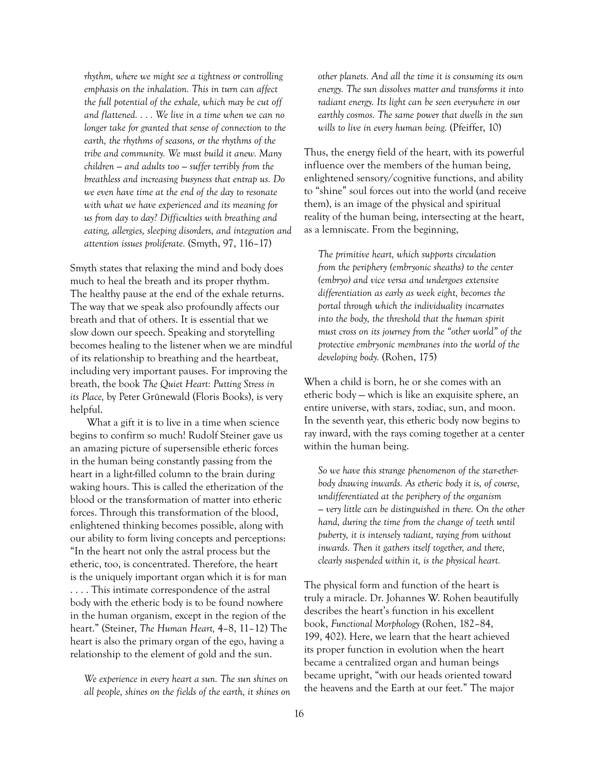*rhythm, where we might see a tightness or controlling emphasis on the inhalation. This in turn can affect the full potential of the exhale, which may be cut off and flattened. . . . We live in a time when we can no longer take for granted that sense of connection to the earth, the rhythms of seasons, or the rhythms of the tribe and community. We must build it anew. Many children — and adults too — suffer terribly from the breathless and increasing busyness that entrap us. Do we even have time at the end of the day to resonate with what we have experienced and its meaning for us from day to day? Difficulties with breathing and eating, allergies, sleeping disorders, and integration and attention issues proliferate.* (Smyth, 97, 116–17)

Smyth states that relaxing the mind and body does much to heal the breath and its proper rhythm. The healthy pause at the end of the exhale returns. The way that we speak also profoundly affects our breath and that of others. It is essential that we slow down our speech. Speaking and storytelling becomes healing to the listener when we are mindful of its relationship to breathing and the heartbeat, including very important pauses. For improving the breath, the book *The Quiet Heart: Putting Stress in its Place,* by Peter Grünewald (Floris Books), is very helpful.

 What a gift it is to live in a time when science begins to confirm so much! Rudolf Steiner gave us an amazing picture of supersensible etheric forces in the human being constantly passing from the heart in a light-filled column to the brain during waking hours. This is called the etherization of the blood or the transformation of matter into etheric forces. Through this transformation of the blood, enlightened thinking becomes possible, along with our ability to form living concepts and perceptions: "In the heart not only the astral process but the etheric, too, is concentrated. Therefore, the heart is the uniquely important organ which it is for man . . . . This intimate correspondence of the astral body with the etheric body is to be found nowhere in the human organism, except in the region of the heart." (Steiner, *The Human Heart,* 4–8, 11–12) The heart is also the primary organ of the ego, having a relationship to the element of gold and the sun.

*We experience in every heart a sun. The sun shines on all people, shines on the fields of the earth, it shines on* 

*other planets. And all the time it is consuming its own energy. The sun dissolves matter and transforms it into radiant energy. Its light can be seen everywhere in our earthly cosmos. The same power that dwells in the sun wills to live in every human being.* (Pfeiffer, 10)

Thus, the energy field of the heart, with its powerful influence over the members of the human being, enlightened sensory/cognitive functions, and ability to "shine" soul forces out into the world (and receive them), is an image of the physical and spiritual reality of the human being, intersecting at the heart, as a lemniscate. From the beginning,

*The primitive heart, which supports circulation from the periphery (embryonic sheaths) to the center (embryo) and vice versa and undergoes extensive differentiation as early as week eight, becomes the portal through which the individuality incarnates into the body, the threshold that the human spirit must cross on its journey from the "other world" of the protective embryonic membranes into the world of the developing body.* (Rohen, 175)

When a child is born, he or she comes with an etheric body — which is like an exquisite sphere, an entire universe, with stars, zodiac, sun, and moon. In the seventh year, this etheric body now begins to ray inward, with the rays coming together at a center within the human being.

*So we have this strange phenomenon of the star-etherbody drawing inwards. As etheric body it is, of course, undifferentiated at the periphery of the organism — very little can be distinguished in there. On the other hand, during the time from the change of teeth until puberty, it is intensely radiant, raying from without inwards. Then it gathers itself together, and there, clearly suspended within it, is the physical heart.*

The physical form and function of the heart is truly a miracle. Dr. Johannes W. Rohen beautifully describes the heart's function in his excellent book, *Functional Morphology* (Rohen, 182–84, 199, 402). Here, we learn that the heart achieved its proper function in evolution when the heart became a centralized organ and human beings became upright, "with our heads oriented toward the heavens and the Earth at our feet." The major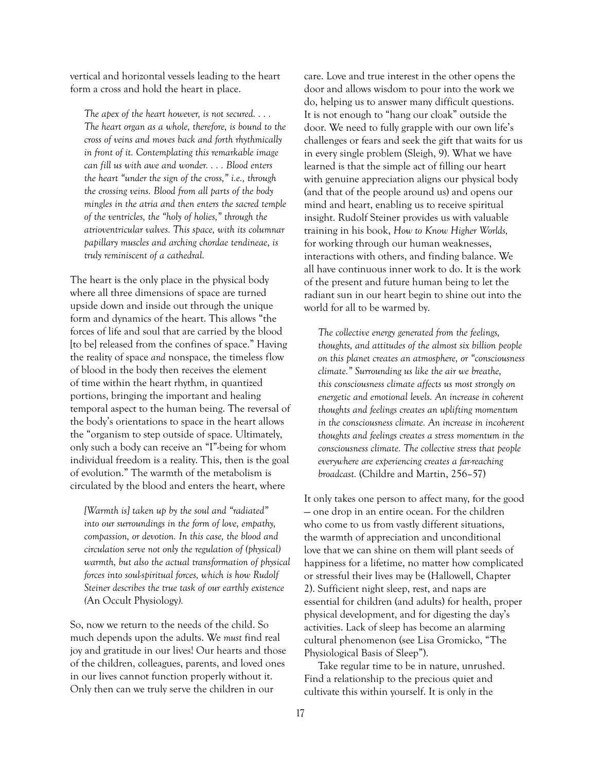vertical and horizontal vessels leading to the heart form a cross and hold the heart in place.

The apex of the heart however, is not secured. . . . *The heart organ as a whole, therefore, is bound to the cross of veins and moves back and forth rhythmically in front of it. Contemplating this remarkable image can fill us with awe and wonder. . . . Blood enters the heart "under the sign of the cross," i.e., through the crossing veins. Blood from all parts of the body mingles in the atria and then enters the sacred temple of the ventricles, the "holy of holies," through the atrioventricular valves. This space, with its columnar papillary muscles and arching chordae tendineae, is truly reminiscent of a cathedral.*

The heart is the only place in the physical body where all three dimensions of space are turned upside down and inside out through the unique form and dynamics of the heart. This allows "the forces of life and soul that are carried by the blood [to be] released from the confines of space." Having the reality of space *and* nonspace, the timeless flow of blood in the body then receives the element of time within the heart rhythm, in quantized portions, bringing the important and healing temporal aspect to the human being. The reversal of the body's orientations to space in the heart allows the "organism to step outside of space. Ultimately, only such a body can receive an "I"-being for whom individual freedom is a reality. This, then is the goal of evolution." The warmth of the metabolism is circulated by the blood and enters the heart, where

*[Warmth is] taken up by the soul and "radiated" into our surroundings in the form of love, empathy, compassion, or devotion. In this case, the blood and circulation serve not only the regulation of (physical) warmth, but also the actual transformation of physical forces into soul-spiritual forces, which is how Rudolf Steiner describes the true task of our earthly existence (*An Occult Physiology*).*

So, now we return to the needs of the child. So much depends upon the adults. We *must* find real joy and gratitude in our lives! Our hearts and those of the children, colleagues, parents, and loved ones in our lives cannot function properly without it. Only then can we truly serve the children in our

care. Love and true interest in the other opens the door and allows wisdom to pour into the work we do, helping us to answer many difficult questions. It is not enough to "hang our cloak" outside the door. We need to fully grapple with our own life's challenges or fears and seek the gift that waits for us in every single problem (Sleigh, 9). What we have learned is that the simple act of filling our heart with genuine appreciation aligns our physical body (and that of the people around us) and opens our mind and heart, enabling us to receive spiritual insight. Rudolf Steiner provides us with valuable training in his book, *How to Know Higher Worlds,* for working through our human weaknesses, interactions with others, and finding balance. We all have continuous inner work to do. It is the work of the present and future human being to let the radiant sun in our heart begin to shine out into the world for all to be warmed by.

*The collective energy generated from the feelings, thoughts, and attitudes of the almost six billion people on this planet creates an atmosphere, or "consciousness climate." Surrounding us like the air we breathe, this consciousness climate affects us most strongly on energetic and emotional levels. An increase in coherent thoughts and feelings creates an uplifting momentum in the consciousness climate. An increase in incoherent thoughts and feelings creates a stress momentum in the consciousness climate. The collective stress that people everywhere are experiencing creates a far-reaching broadcast.* (Childre and Martin, 256–57)

It only takes one person to affect many, for the good — one drop in an entire ocean. For the children who come to us from vastly different situations, the warmth of appreciation and unconditional love that we can shine on them will plant seeds of happiness for a lifetime, no matter how complicated or stressful their lives may be (Hallowell, Chapter 2). Sufficient night sleep, rest, and naps are essential for children (and adults) for health, proper physical development, and for digesting the day's activities. Lack of sleep has become an alarming cultural phenomenon (see Lisa Gromicko, "The Physiological Basis of Sleep").

Take regular time to be in nature, unrushed. Find a relationship to the precious quiet and cultivate this within yourself. It is only in the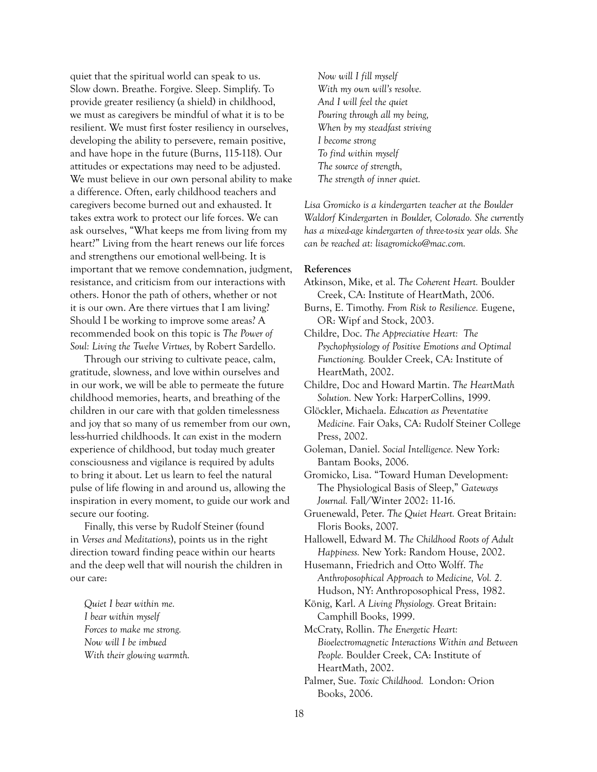quiet that the spiritual world can speak to us. Slow down. Breathe. Forgive. Sleep. Simplify. To provide greater resiliency (a shield) in childhood, we must as caregivers be mindful of what it is to be resilient. We must first foster resiliency in ourselves, developing the ability to persevere, remain positive, and have hope in the future (Burns, 115-118). Our attitudes or expectations may need to be adjusted. We must believe in our own personal ability to make a difference. Often, early childhood teachers and caregivers become burned out and exhausted. It takes extra work to protect our life forces. We can ask ourselves, "What keeps me from living from my heart?" Living from the heart renews our life forces and strengthens our emotional well-being. It is important that we remove condemnation, judgment, resistance, and criticism from our interactions with others. Honor the path of others, whether or not it is our own. Are there virtues that I am living? Should I be working to improve some areas? A recommended book on this topic is *The Power of Soul: Living the Twelve Virtues,* by Robert Sardello.

Through our striving to cultivate peace, calm, gratitude, slowness, and love within ourselves and in our work, we will be able to permeate the future childhood memories, hearts, and breathing of the children in our care with that golden timelessness and joy that so many of us remember from our own, less-hurried childhoods. It *can* exist in the modern experience of childhood, but today much greater consciousness and vigilance is required by adults to bring it about. Let us learn to feel the natural pulse of life flowing in and around us, allowing the inspiration in every moment, to guide our work and secure our footing.

Finally, this verse by Rudolf Steiner (found in *Verses and Meditations*), points us in the right direction toward finding peace within our hearts and the deep well that will nourish the children in our care:

*Quiet I bear within me. I bear within myself Forces to make me strong. Now will I be imbued With their glowing warmth.*

*Now will I fill myself With my own will's resolve. And I will feel the quiet Pouring through all my being, When by my steadfast striving I become strong To find within myself The source of strength, The strength of inner quiet.*

*Lisa Gromicko is a kindergarten teacher at the Boulder Waldorf Kindergarten in Boulder, Colorado. She currently has a mixed-age kindergarten of three-to-six year olds. She can be reached at: lisagromicko@mac.com.* 

#### **References**

- Atkinson, Mike, et al. *The Coherent Heart.* Boulder Creek, CA: Institute of HeartMath, 2006.
- Burns, E. Timothy. *From Risk to Resilience.* Eugene, OR: Wipf and Stock, 2003.
- Childre, Doc. *The Appreciative Heart: The Psychophysiology of Positive Emotions and Optimal Functioning.* Boulder Creek, CA: Institute of HeartMath, 2002.
- Childre, Doc and Howard Martin. *The HeartMath Solution.* New York: HarperCollins, 1999.
- Glöckler, Michaela. *Education as Preventative Medicine.* Fair Oaks, CA: Rudolf Steiner College Press, 2002.
- Goleman, Daniel. *Social Intelligence.* New York: Bantam Books, 2006.
- Gromicko, Lisa. "Toward Human Development: The Physiological Basis of Sleep," *Gateways Journal.* Fall/Winter 2002: 11-16.
- Gruenewald, Peter. *The Quiet Heart.* Great Britain: Floris Books, 2007.
- Hallowell, Edward M. *The Childhood Roots of Adult Happiness.* New York: Random House, 2002.
- Husemann, Friedrich and Otto Wolff. *The Anthroposophical Approach to Medicine, Vol. 2.* Hudson, NY: Anthroposophical Press, 1982.
- König, Karl. *A Living Physiology.* Great Britain: Camphill Books, 1999.

McCraty, Rollin. *The Energetic Heart: Bioelectromagnetic Interactions Within and Between People.* Boulder Creek, CA: Institute of HeartMath, 2002.

Palmer, Sue. *Toxic Childhood.* London: Orion Books, 2006.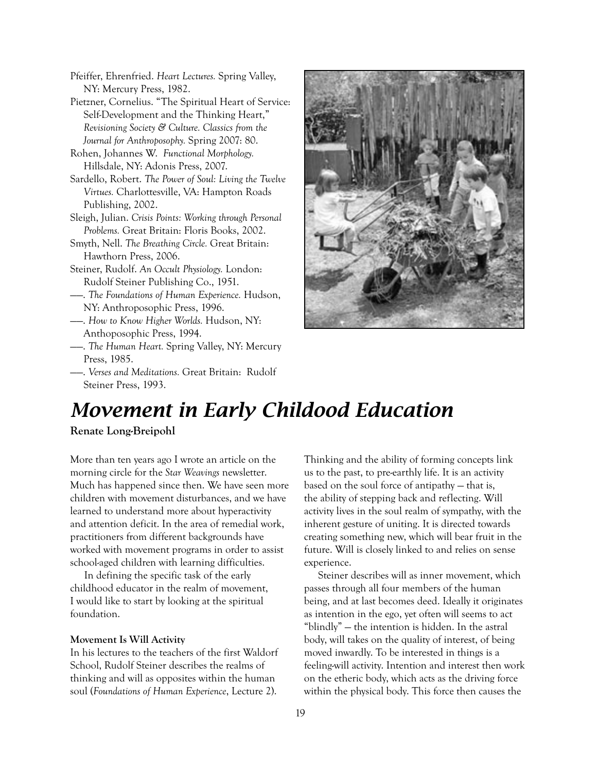Pfeiffer, Ehrenfried. *Heart Lectures.* Spring Valley, NY: Mercury Press, 1982.

- Pietzner, Cornelius. "The Spiritual Heart of Service: Self-Development and the Thinking Heart," *Revisioning Society & Culture. Classics from the Journal for Anthroposophy.* Spring 2007: 80.
- Rohen, Johannes W. *Functional Morphology.* Hillsdale, NY: Adonis Press, 2007.
- Sardello, Robert. *The Power of Soul: Living the Twelve Virtues.* Charlottesville, VA: Hampton Roads Publishing, 2002.
- Sleigh, Julian. *Crisis Points: Working through Personal Problems.* Great Britain: Floris Books, 2002.
- Smyth, Nell. *The Breathing Circle.* Great Britain: Hawthorn Press, 2006.
- Steiner, Rudolf. *An Occult Physiology.* London: Rudolf Steiner Publishing Co., 1951.
- ——. *The Foundations of Human Experience.* Hudson, NY: Anthroposophic Press, 1996.
- ——. *How to Know Higher Worlds.* Hudson, NY: Anthoposophic Press, 1994.
- ——. *The Human Heart.* Spring Valley, NY: Mercury Press, 1985.
- ——. *Verses and Meditations.* Great Britain: Rudolf Steiner Press, 1993.



# *Movement in Early Childood Education*

**Renate Long-Breipohl**

More than ten years ago I wrote an article on the morning circle for the *Star Weavings* newsletter. Much has happened since then. We have seen more children with movement disturbances, and we have learned to understand more about hyperactivity and attention deficit. In the area of remedial work, practitioners from different backgrounds have worked with movement programs in order to assist school-aged children with learning difficulties.

In defining the specific task of the early childhood educator in the realm of movement, I would like to start by looking at the spiritual foundation.

#### **Movement Is Will Activity**

In his lectures to the teachers of the first Waldorf School, Rudolf Steiner describes the realms of thinking and will as opposites within the human soul (*Foundations of Human Experience*, Lecture 2).

Thinking and the ability of forming concepts link us to the past, to pre-earthly life. It is an activity based on the soul force of antipathy — that is, the ability of stepping back and reflecting. Will activity lives in the soul realm of sympathy, with the inherent gesture of uniting. It is directed towards creating something new, which will bear fruit in the future. Will is closely linked to and relies on sense experience.

Steiner describes will as inner movement, which passes through all four members of the human being, and at last becomes deed. Ideally it originates as intention in the ego, yet often will seems to act "blindly" — the intention is hidden. In the astral body, will takes on the quality of interest, of being moved inwardly. To be interested in things is a feeling-will activity. Intention and interest then work on the etheric body, which acts as the driving force within the physical body. This force then causes the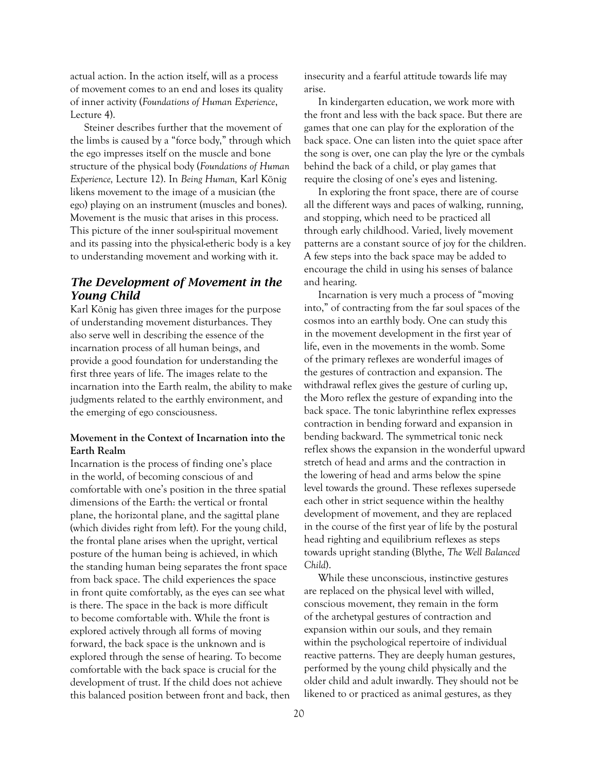actual action. In the action itself, will as a process of movement comes to an end and loses its quality of inner activity (*Foundations of Human Experience*, Lecture 4).

Steiner describes further that the movement of the limbs is caused by a "force body," through which the ego impresses itself on the muscle and bone structure of the physical body (*Foundations of Human Experience,* Lecture 12). In *Being Human,* Karl König likens movement to the image of a musician (the ego) playing on an instrument (muscles and bones). Movement is the music that arises in this process. This picture of the inner soul-spiritual movement and its passing into the physical-etheric body is a key to understanding movement and working with it.

### *The Development of Movement in the Young Child*

Karl König has given three images for the purpose of understanding movement disturbances. They also serve well in describing the essence of the incarnation process of all human beings, and provide a good foundation for understanding the first three years of life. The images relate to the incarnation into the Earth realm, the ability to make judgments related to the earthly environment, and the emerging of ego consciousness.

### **Movement in the Context of Incarnation into the Earth Realm**

Incarnation is the process of finding one's place in the world, of becoming conscious of and comfortable with one's position in the three spatial dimensions of the Earth: the vertical or frontal plane, the horizontal plane, and the sagittal plane (which divides right from left). For the young child, the frontal plane arises when the upright, vertical posture of the human being is achieved, in which the standing human being separates the front space from back space. The child experiences the space in front quite comfortably, as the eyes can see what is there. The space in the back is more difficult to become comfortable with. While the front is explored actively through all forms of moving forward, the back space is the unknown and is explored through the sense of hearing. To become comfortable with the back space is crucial for the development of trust. If the child does not achieve this balanced position between front and back, then insecurity and a fearful attitude towards life may arise.

In kindergarten education, we work more with the front and less with the back space. But there are games that one can play for the exploration of the back space. One can listen into the quiet space after the song is over, one can play the lyre or the cymbals behind the back of a child, or play games that require the closing of one's eyes and listening.

In exploring the front space, there are of course all the different ways and paces of walking, running, and stopping, which need to be practiced all through early childhood. Varied, lively movement patterns are a constant source of joy for the children. A few steps into the back space may be added to encourage the child in using his senses of balance and hearing.

Incarnation is very much a process of "moving into," of contracting from the far soul spaces of the cosmos into an earthly body. One can study this in the movement development in the first year of life, even in the movements in the womb. Some of the primary reflexes are wonderful images of the gestures of contraction and expansion. The withdrawal reflex gives the gesture of curling up, the Moro reflex the gesture of expanding into the back space. The tonic labyrinthine reflex expresses contraction in bending forward and expansion in bending backward. The symmetrical tonic neck reflex shows the expansion in the wonderful upward stretch of head and arms and the contraction in the lowering of head and arms below the spine level towards the ground. These reflexes supersede each other in strict sequence within the healthy development of movement, and they are replaced in the course of the first year of life by the postural head righting and equilibrium reflexes as steps towards upright standing (Blythe, *The Well Balanced Child*).

While these unconscious, instinctive gestures are replaced on the physical level with willed, conscious movement, they remain in the form of the archetypal gestures of contraction and expansion within our souls, and they remain within the psychological repertoire of individual reactive patterns. They are deeply human gestures, performed by the young child physically and the older child and adult inwardly. They should not be likened to or practiced as animal gestures, as they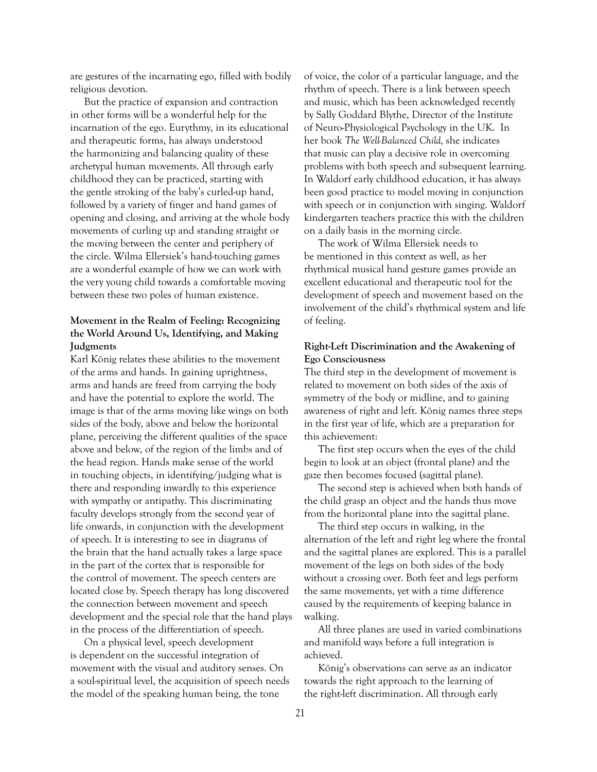are gestures of the incarnating ego, filled with bodily religious devotion.

But the practice of expansion and contraction in other forms will be a wonderful help for the incarnation of the ego. Eurythmy, in its educational and therapeutic forms, has always understood the harmonizing and balancing quality of these archetypal human movements. All through early childhood they can be practiced, starting with the gentle stroking of the baby's curled-up hand, followed by a variety of finger and hand games of opening and closing, and arriving at the whole body movements of curling up and standing straight or the moving between the center and periphery of the circle. Wilma Ellersiek's hand-touching games are a wonderful example of how we can work with the very young child towards a comfortable moving between these two poles of human existence.

### **Movement in the Realm of Feeling: Recognizing the World Around Us, Identifying, and Making Judgments**

Karl König relates these abilities to the movement of the arms and hands. In gaining uprightness, arms and hands are freed from carrying the body and have the potential to explore the world. The image is that of the arms moving like wings on both sides of the body, above and below the horizontal plane, perceiving the different qualities of the space above and below, of the region of the limbs and of the head region. Hands make sense of the world in touching objects, in identifying/judging what is there and responding inwardly to this experience with sympathy or antipathy. This discriminating faculty develops strongly from the second year of life onwards, in conjunction with the development of speech. It is interesting to see in diagrams of the brain that the hand actually takes a large space in the part of the cortex that is responsible for the control of movement. The speech centers are located close by. Speech therapy has long discovered the connection between movement and speech development and the special role that the hand plays in the process of the differentiation of speech.

On a physical level, speech development is dependent on the successful integration of movement with the visual and auditory senses. On a soul-spiritual level, the acquisition of speech needs the model of the speaking human being, the tone

of voice, the color of a particular language, and the rhythm of speech. There is a link between speech and music, which has been acknowledged recently by Sally Goddard Blythe, Director of the Institute of Neuro-Physiological Psychology in the UK. In her book *The Well-Balanced Child,* she indicates that music can play a decisive role in overcoming problems with both speech and subsequent learning. In Waldorf early childhood education, it has always been good practice to model moving in conjunction with speech or in conjunction with singing. Waldorf kindergarten teachers practice this with the children on a daily basis in the morning circle.

The work of Wilma Ellersiek needs to be mentioned in this context as well, as her rhythmical musical hand gesture games provide an excellent educational and therapeutic tool for the development of speech and movement based on the involvement of the child's rhythmical system and life of feeling.

### **Right-Left Discrimination and the Awakening of Ego Consciousness**

The third step in the development of movement is related to movement on both sides of the axis of symmetry of the body or midline, and to gaining awareness of right and left. König names three steps in the first year of life, which are a preparation for this achievement:

The first step occurs when the eyes of the child begin to look at an object (frontal plane) and the gaze then becomes focused (sagittal plane).

The second step is achieved when both hands of the child grasp an object and the hands thus move from the horizontal plane into the sagittal plane.

The third step occurs in walking, in the alternation of the left and right leg where the frontal and the sagittal planes are explored. This is a parallel movement of the legs on both sides of the body without a crossing over. Both feet and legs perform the same movements, yet with a time difference caused by the requirements of keeping balance in walking.

All three planes are used in varied combinations and manifold ways before a full integration is achieved.

König's observations can serve as an indicator towards the right approach to the learning of the right-left discrimination. All through early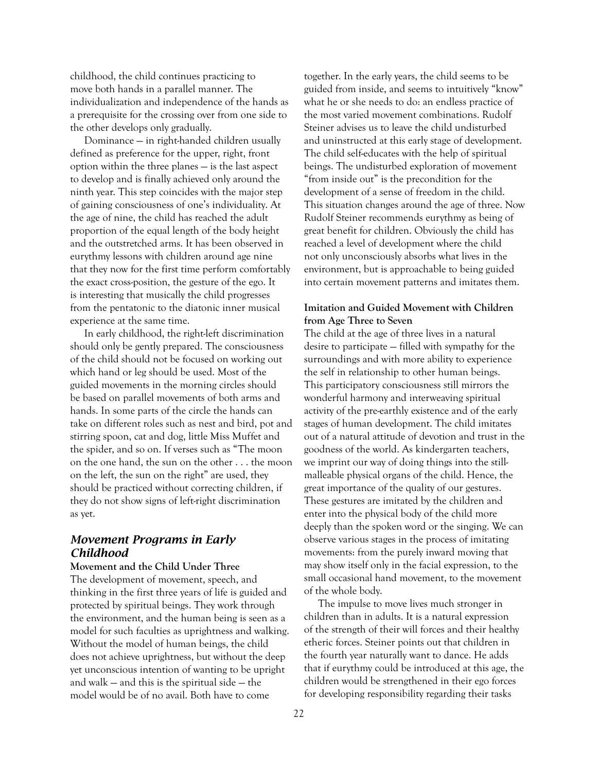childhood, the child continues practicing to move both hands in a parallel manner. The individualization and independence of the hands as a prerequisite for the crossing over from one side to the other develops only gradually.

Dominance — in right-handed children usually defined as preference for the upper, right, front option within the three planes — is the last aspect to develop and is finally achieved only around the ninth year. This step coincides with the major step of gaining consciousness of one's individuality. At the age of nine, the child has reached the adult proportion of the equal length of the body height and the outstretched arms. It has been observed in eurythmy lessons with children around age nine that they now for the first time perform comfortably the exact cross-position, the gesture of the ego. It is interesting that musically the child progresses from the pentatonic to the diatonic inner musical experience at the same time.

In early childhood, the right-left discrimination should only be gently prepared. The consciousness of the child should not be focused on working out which hand or leg should be used. Most of the guided movements in the morning circles should be based on parallel movements of both arms and hands. In some parts of the circle the hands can take on different roles such as nest and bird, pot and stirring spoon, cat and dog, little Miss Muffet and the spider, and so on. If verses such as "The moon on the one hand, the sun on the other . . . the moon on the left, the sun on the right" are used, they should be practiced without correcting children, if they do not show signs of left-right discrimination as yet.

### *Movement Programs in Early Childhood*

#### **Movement and the Child Under Three**

The development of movement, speech, and thinking in the first three years of life is guided and protected by spiritual beings. They work through the environment, and the human being is seen as a model for such faculties as uprightness and walking. Without the model of human beings, the child does not achieve uprightness, but without the deep yet unconscious intention of wanting to be upright and walk — and this is the spiritual side — the model would be of no avail. Both have to come

together. In the early years, the child seems to be guided from inside, and seems to intuitively "know" what he or she needs to do: an endless practice of the most varied movement combinations. Rudolf Steiner advises us to leave the child undisturbed and uninstructed at this early stage of development. The child self-educates with the help of spiritual beings. The undisturbed exploration of movement "from inside out" is the precondition for the development of a sense of freedom in the child. This situation changes around the age of three. Now Rudolf Steiner recommends eurythmy as being of great benefit for children. Obviously the child has reached a level of development where the child not only unconsciously absorbs what lives in the environment, but is approachable to being guided into certain movement patterns and imitates them.

### **Imitation and Guided Movement with Children from Age Three to Seven**

The child at the age of three lives in a natural desire to participate — filled with sympathy for the surroundings and with more ability to experience the self in relationship to other human beings. This participatory consciousness still mirrors the wonderful harmony and interweaving spiritual activity of the pre-earthly existence and of the early stages of human development. The child imitates out of a natural attitude of devotion and trust in the goodness of the world. As kindergarten teachers, we imprint our way of doing things into the stillmalleable physical organs of the child. Hence, the great importance of the quality of our gestures. These gestures are imitated by the children and enter into the physical body of the child more deeply than the spoken word or the singing. We can observe various stages in the process of imitating movements: from the purely inward moving that may show itself only in the facial expression, to the small occasional hand movement, to the movement of the whole body.

The impulse to move lives much stronger in children than in adults. It is a natural expression of the strength of their will forces and their healthy etheric forces. Steiner points out that children in the fourth year naturally want to dance. He adds that if eurythmy could be introduced at this age, the children would be strengthened in their ego forces for developing responsibility regarding their tasks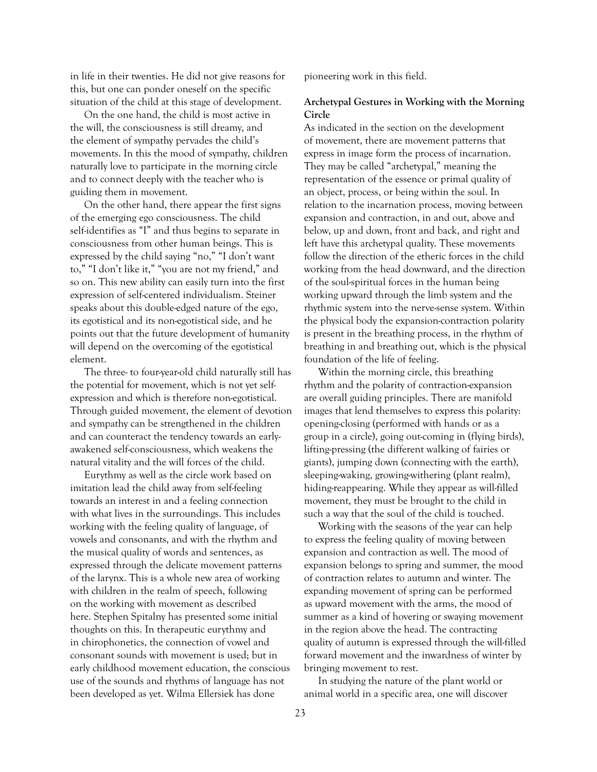in life in their twenties. He did not give reasons for this, but one can ponder oneself on the specific situation of the child at this stage of development.

On the one hand, the child is most active in the will, the consciousness is still dreamy, and the element of sympathy pervades the child's movements. In this the mood of sympathy, children naturally love to participate in the morning circle and to connect deeply with the teacher who is guiding them in movement.

On the other hand, there appear the first signs of the emerging ego consciousness. The child self-identifies as "I" and thus begins to separate in consciousness from other human beings. This is expressed by the child saying "no," "I don't want to," "I don't like it," "you are not my friend," and so on. This new ability can easily turn into the first expression of self-centered individualism. Steiner speaks about this double-edged nature of the ego, its egotistical and its non-egotistical side, and he points out that the future development of humanity will depend on the overcoming of the egotistical element.

The three- to four-year-old child naturally still has the potential for movement, which is not yet selfexpression and which is therefore non-egotistical. Through guided movement, the element of devotion and sympathy can be strengthened in the children and can counteract the tendency towards an earlyawakened self-consciousness, which weakens the natural vitality and the will forces of the child.

Eurythmy as well as the circle work based on imitation lead the child away from self-feeling towards an interest in and a feeling connection with what lives in the surroundings. This includes working with the feeling quality of language, of vowels and consonants, and with the rhythm and the musical quality of words and sentences, as expressed through the delicate movement patterns of the larynx. This is a whole new area of working with children in the realm of speech, following on the working with movement as described here. Stephen Spitalny has presented some initial thoughts on this. In therapeutic eurythmy and in chirophonetics, the connection of vowel and consonant sounds with movement is used; but in early childhood movement education, the conscious use of the sounds and rhythms of language has not been developed as yet. Wilma Ellersiek has done

pioneering work in this field.

### **Archetypal Gestures in Working with the Morning Circle**

As indicated in the section on the development of movement, there are movement patterns that express in image form the process of incarnation. They may be called "archetypal," meaning the representation of the essence or primal quality of an object, process, or being within the soul. In relation to the incarnation process, moving between expansion and contraction, in and out, above and below, up and down, front and back, and right and left have this archetypal quality. These movements follow the direction of the etheric forces in the child working from the head downward, and the direction of the soul-spiritual forces in the human being working upward through the limb system and the rhythmic system into the nerve-sense system. Within the physical body the expansion-contraction polarity is present in the breathing process, in the rhythm of breathing in and breathing out, which is the physical foundation of the life of feeling.

Within the morning circle, this breathing rhythm and the polarity of contraction-expansion are overall guiding principles. There are manifold images that lend themselves to express this polarity: opening-closing (performed with hands or as a group in a circle), going out-coming in (flying birds), lifting-pressing (the different walking of fairies or giants), jumping down (connecting with the earth), sleeping-waking, growing-withering (plant realm), hiding-reappearing. While they appear as will-filled movement, they must be brought to the child in such a way that the soul of the child is touched.

Working with the seasons of the year can help to express the feeling quality of moving between expansion and contraction as well. The mood of expansion belongs to spring and summer, the mood of contraction relates to autumn and winter. The expanding movement of spring can be performed as upward movement with the arms, the mood of summer as a kind of hovering or swaying movement in the region above the head. The contracting quality of autumn is expressed through the will-filled forward movement and the inwardness of winter by bringing movement to rest.

In studying the nature of the plant world or animal world in a specific area, one will discover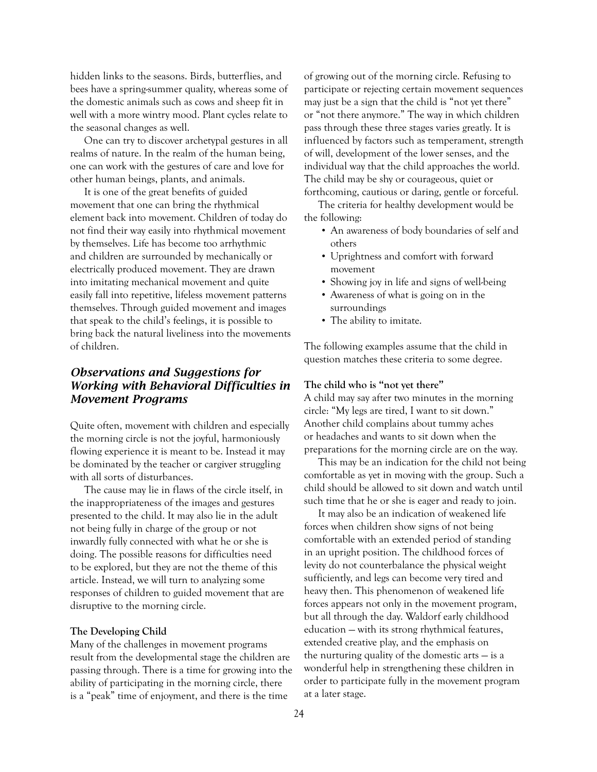hidden links to the seasons. Birds, butterflies, and bees have a spring-summer quality, whereas some of the domestic animals such as cows and sheep fit in well with a more wintry mood. Plant cycles relate to the seasonal changes as well.

One can try to discover archetypal gestures in all realms of nature. In the realm of the human being, one can work with the gestures of care and love for other human beings, plants, and animals.

It is one of the great benefits of guided movement that one can bring the rhythmical element back into movement. Children of today do not find their way easily into rhythmical movement by themselves. Life has become too arrhythmic and children are surrounded by mechanically or electrically produced movement. They are drawn into imitating mechanical movement and quite easily fall into repetitive, lifeless movement patterns themselves. Through guided movement and images that speak to the child's feelings, it is possible to bring back the natural liveliness into the movements of children.

## *Observations and Suggestions for Working with Behavioral Difficulties in Movement Programs*

Quite often, movement with children and especially the morning circle is not the joyful, harmoniously flowing experience it is meant to be. Instead it may be dominated by the teacher or cargiver struggling with all sorts of disturbances.

The cause may lie in flaws of the circle itself, in the inappropriateness of the images and gestures presented to the child. It may also lie in the adult not being fully in charge of the group or not inwardly fully connected with what he or she is doing. The possible reasons for difficulties need to be explored, but they are not the theme of this article. Instead, we will turn to analyzing some responses of children to guided movement that are disruptive to the morning circle.

#### **The Developing Child**

Many of the challenges in movement programs result from the developmental stage the children are passing through. There is a time for growing into the ability of participating in the morning circle, there is a "peak" time of enjoyment, and there is the time

of growing out of the morning circle. Refusing to participate or rejecting certain movement sequences may just be a sign that the child is "not yet there" or "not there anymore." The way in which children pass through these three stages varies greatly. It is influenced by factors such as temperament, strength of will, development of the lower senses, and the individual way that the child approaches the world. The child may be shy or courageous, quiet or forthcoming, cautious or daring, gentle or forceful.

The criteria for healthy development would be the following:

- An awareness of body boundaries of self and others
- Uprightness and comfort with forward movement
- Showing joy in life and signs of well-being
- Awareness of what is going on in the surroundings
- The ability to imitate.

The following examples assume that the child in question matches these criteria to some degree.

### **The child who is "not yet there"**

A child may say after two minutes in the morning circle: "My legs are tired, I want to sit down." Another child complains about tummy aches or headaches and wants to sit down when the preparations for the morning circle are on the way.

This may be an indication for the child not being comfortable as yet in moving with the group. Such a child should be allowed to sit down and watch until such time that he or she is eager and ready to join.

It may also be an indication of weakened life forces when children show signs of not being comfortable with an extended period of standing in an upright position. The childhood forces of levity do not counterbalance the physical weight sufficiently, and legs can become very tired and heavy then. This phenomenon of weakened life forces appears not only in the movement program, but all through the day. Waldorf early childhood education — with its strong rhythmical features, extended creative play, and the emphasis on the nurturing quality of the domestic arts — is a wonderful help in strengthening these children in order to participate fully in the movement program at a later stage.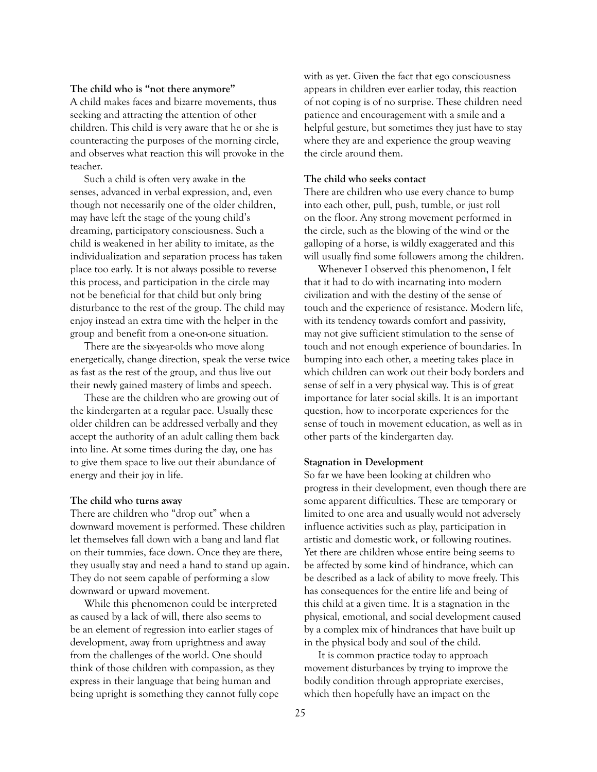#### **The child who is "not there anymore"**

A child makes faces and bizarre movements, thus seeking and attracting the attention of other children. This child is very aware that he or she is counteracting the purposes of the morning circle, and observes what reaction this will provoke in the teacher.

Such a child is often very awake in the senses, advanced in verbal expression, and, even though not necessarily one of the older children, may have left the stage of the young child's dreaming, participatory consciousness. Such a child is weakened in her ability to imitate, as the individualization and separation process has taken place too early. It is not always possible to reverse this process, and participation in the circle may not be beneficial for that child but only bring disturbance to the rest of the group. The child may enjoy instead an extra time with the helper in the group and benefit from a one-on-one situation.

There are the six-year-olds who move along energetically, change direction, speak the verse twice as fast as the rest of the group, and thus live out their newly gained mastery of limbs and speech.

These are the children who are growing out of the kindergarten at a regular pace. Usually these older children can be addressed verbally and they accept the authority of an adult calling them back into line. At some times during the day, one has to give them space to live out their abundance of energy and their joy in life.

#### **The child who turns away**

There are children who "drop out" when a downward movement is performed. These children let themselves fall down with a bang and land flat on their tummies, face down. Once they are there, they usually stay and need a hand to stand up again. They do not seem capable of performing a slow downward or upward movement.

While this phenomenon could be interpreted as caused by a lack of will, there also seems to be an element of regression into earlier stages of development, away from uprightness and away from the challenges of the world. One should think of those children with compassion, as they express in their language that being human and being upright is something they cannot fully cope

with as yet. Given the fact that ego consciousness appears in children ever earlier today, this reaction of not coping is of no surprise. These children need patience and encouragement with a smile and a helpful gesture, but sometimes they just have to stay where they are and experience the group weaving the circle around them.

#### **The child who seeks contact**

There are children who use every chance to bump into each other, pull, push, tumble, or just roll on the floor. Any strong movement performed in the circle, such as the blowing of the wind or the galloping of a horse, is wildly exaggerated and this will usually find some followers among the children.

Whenever I observed this phenomenon, I felt that it had to do with incarnating into modern civilization and with the destiny of the sense of touch and the experience of resistance. Modern life, with its tendency towards comfort and passivity, may not give sufficient stimulation to the sense of touch and not enough experience of boundaries. In bumping into each other, a meeting takes place in which children can work out their body borders and sense of self in a very physical way. This is of great importance for later social skills. It is an important question, how to incorporate experiences for the sense of touch in movement education, as well as in other parts of the kindergarten day.

#### **Stagnation in Development**

So far we have been looking at children who progress in their development, even though there are some apparent difficulties. These are temporary or limited to one area and usually would not adversely influence activities such as play, participation in artistic and domestic work, or following routines. Yet there are children whose entire being seems to be affected by some kind of hindrance, which can be described as a lack of ability to move freely. This has consequences for the entire life and being of this child at a given time. It is a stagnation in the physical, emotional, and social development caused by a complex mix of hindrances that have built up in the physical body and soul of the child.

It is common practice today to approach movement disturbances by trying to improve the bodily condition through appropriate exercises, which then hopefully have an impact on the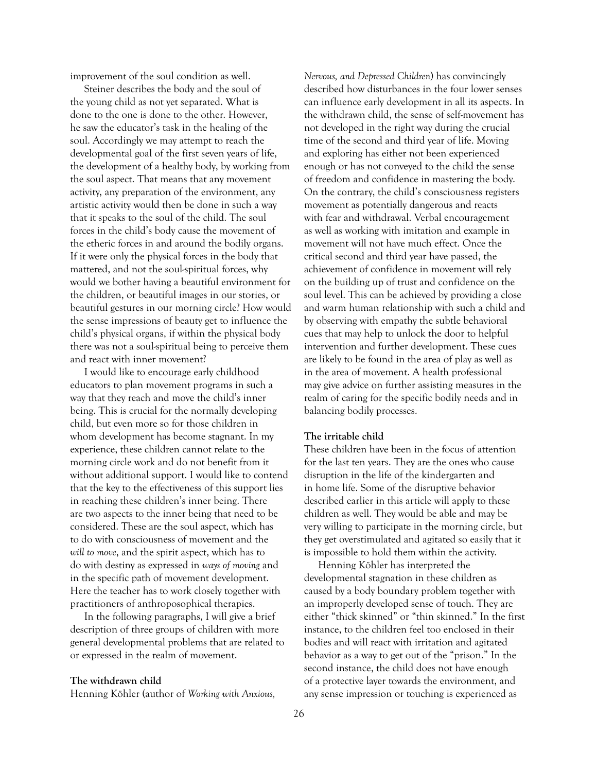improvement of the soul condition as well.

Steiner describes the body and the soul of the young child as not yet separated. What is done to the one is done to the other. However, he saw the educator's task in the healing of the soul. Accordingly we may attempt to reach the developmental goal of the first seven years of life, the development of a healthy body, by working from the soul aspect. That means that any movement activity, any preparation of the environment, any artistic activity would then be done in such a way that it speaks to the soul of the child. The soul forces in the child's body cause the movement of the etheric forces in and around the bodily organs. If it were only the physical forces in the body that mattered, and not the soul-spiritual forces, why would we bother having a beautiful environment for the children, or beautiful images in our stories, or beautiful gestures in our morning circle? How would the sense impressions of beauty get to influence the child's physical organs, if within the physical body there was not a soul-spiritual being to perceive them and react with inner movement?

I would like to encourage early childhood educators to plan movement programs in such a way that they reach and move the child's inner being. This is crucial for the normally developing child, but even more so for those children in whom development has become stagnant. In my experience, these children cannot relate to the morning circle work and do not benefit from it without additional support. I would like to contend that the key to the effectiveness of this support lies in reaching these children's inner being. There are two aspects to the inner being that need to be considered. These are the soul aspect, which has to do with consciousness of movement and the *will to move*, and the spirit aspect, which has to do with destiny as expressed in *ways of moving* and in the specific path of movement development. Here the teacher has to work closely together with practitioners of anthroposophical therapies.

In the following paragraphs, I will give a brief description of three groups of children with more general developmental problems that are related to or expressed in the realm of movement.

#### **The withdrawn child**

Henning Köhler (author of *Working with Anxious,* 

*Nervous, and Depressed Children*) has convincingly described how disturbances in the four lower senses can influence early development in all its aspects. In the withdrawn child, the sense of self-movement has not developed in the right way during the crucial time of the second and third year of life. Moving and exploring has either not been experienced enough or has not conveyed to the child the sense of freedom and confidence in mastering the body. On the contrary, the child's consciousness registers movement as potentially dangerous and reacts with fear and withdrawal. Verbal encouragement as well as working with imitation and example in movement will not have much effect. Once the critical second and third year have passed, the achievement of confidence in movement will rely on the building up of trust and confidence on the soul level. This can be achieved by providing a close and warm human relationship with such a child and by observing with empathy the subtle behavioral cues that may help to unlock the door to helpful intervention and further development. These cues are likely to be found in the area of play as well as in the area of movement. A health professional may give advice on further assisting measures in the realm of caring for the specific bodily needs and in balancing bodily processes.

#### **The irritable child**

These children have been in the focus of attention for the last ten years. They are the ones who cause disruption in the life of the kindergarten and in home life. Some of the disruptive behavior described earlier in this article will apply to these children as well. They would be able and may be very willing to participate in the morning circle, but they get overstimulated and agitated so easily that it is impossible to hold them within the activity.

Henning Köhler has interpreted the developmental stagnation in these children as caused by a body boundary problem together with an improperly developed sense of touch. They are either "thick skinned" or "thin skinned." In the first instance, to the children feel too enclosed in their bodies and will react with irritation and agitated behavior as a way to get out of the "prison." In the second instance, the child does not have enough of a protective layer towards the environment, and any sense impression or touching is experienced as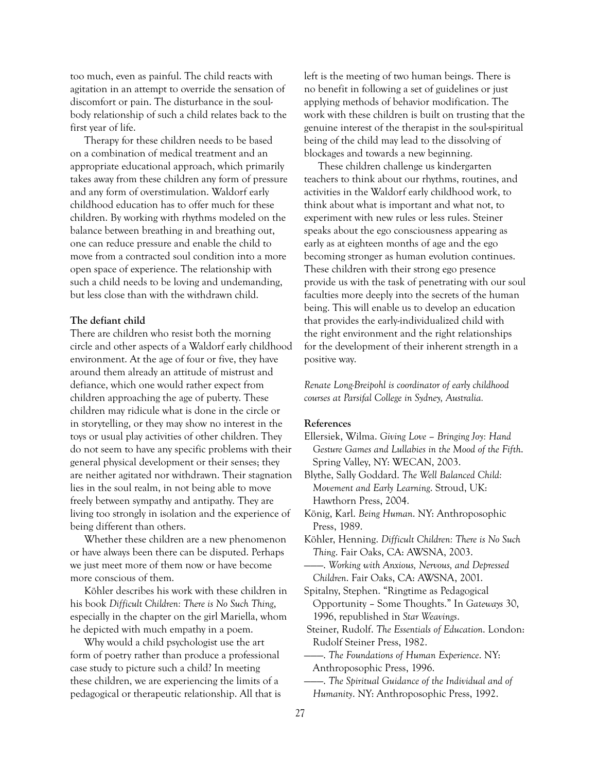too much, even as painful. The child reacts with agitation in an attempt to override the sensation of discomfort or pain. The disturbance in the soulbody relationship of such a child relates back to the first year of life.

Therapy for these children needs to be based on a combination of medical treatment and an appropriate educational approach, which primarily takes away from these children any form of pressure and any form of overstimulation. Waldorf early childhood education has to offer much for these children. By working with rhythms modeled on the balance between breathing in and breathing out, one can reduce pressure and enable the child to move from a contracted soul condition into a more open space of experience. The relationship with such a child needs to be loving and undemanding, but less close than with the withdrawn child.

#### **The defiant child**

There are children who resist both the morning circle and other aspects of a Waldorf early childhood environment. At the age of four or five, they have around them already an attitude of mistrust and defiance, which one would rather expect from children approaching the age of puberty. These children may ridicule what is done in the circle or in storytelling, or they may show no interest in the toys or usual play activities of other children. They do not seem to have any specific problems with their general physical development or their senses; they are neither agitated nor withdrawn. Their stagnation lies in the soul realm, in not being able to move freely between sympathy and antipathy. They are living too strongly in isolation and the experience of being different than others.

Whether these children are a new phenomenon or have always been there can be disputed. Perhaps we just meet more of them now or have become more conscious of them.

Köhler describes his work with these children in his book *Difficult Children: There is No Such Thing*, especially in the chapter on the girl Mariella, whom he depicted with much empathy in a poem.

Why would a child psychologist use the art form of poetry rather than produce a professional case study to picture such a child? In meeting these children, we are experiencing the limits of a pedagogical or therapeutic relationship. All that is

left is the meeting of two human beings. There is no benefit in following a set of guidelines or just applying methods of behavior modification. The work with these children is built on trusting that the genuine interest of the therapist in the soul-spiritual being of the child may lead to the dissolving of blockages and towards a new beginning.

These children challenge us kindergarten teachers to think about our rhythms, routines, and activities in the Waldorf early childhood work, to think about what is important and what not, to experiment with new rules or less rules. Steiner speaks about the ego consciousness appearing as early as at eighteen months of age and the ego becoming stronger as human evolution continues. These children with their strong ego presence provide us with the task of penetrating with our soul faculties more deeply into the secrets of the human being. This will enable us to develop an education that provides the early-individualized child with the right environment and the right relationships for the development of their inherent strength in a positive way.

*Renate Long-Breipohl is coordinator of early childhood courses at Parsifal College in Sydney, Australia.*

#### **References**

Ellersiek, Wilma. *Giving Love – Bringing Joy: Hand Gesture Games and Lullabies in the Mood of the Fifth*. Spring Valley, NY: WECAN, 2003.

Blythe, Sally Goddard. *The Well Balanced Child: Movement and Early Learning*. Stroud, UK: Hawthorn Press, 2004.

- König, Karl. *Being Human*. NY: Anthroposophic Press, 1989.
- Köhler, Henning. *Difficult Children: There is No Such Thing*. Fair Oaks, CA: AWSNA, 2003.
- ———. *Working with Anxious, Nervous, and Depressed Children*. Fair Oaks, CA: AWSNA, 2001.

Spitalny, Stephen. "Ringtime as Pedagogical Opportunity – Some Thoughts." In *Gateways* 30, 1996, republished in *Star Weavings*.

 Steiner, Rudolf. *The Essentials of Education*. London: Rudolf Steiner Press, 1982.

———. *The Foundations of Human Experience*. NY: Anthroposophic Press, 1996.

———. *The Spiritual Guidance of the Individual and of Humanity*. NY: Anthroposophic Press, 1992.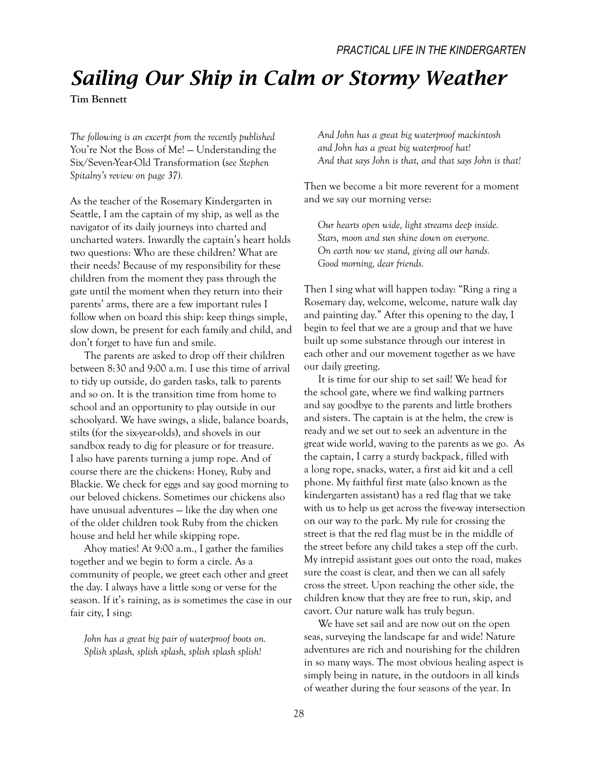# *Sailing Our Ship in Calm or Stormy Weather*

**Tim Bennett**

*The following is an excerpt from the recently published*  You're Not the Boss of Me! — Understanding the Six/Seven-Year-Old Transformation (s*ee Stephen Spitalny's review on page 37).* 

As the teacher of the Rosemary Kindergarten in Seattle, I am the captain of my ship, as well as the navigator of its daily journeys into charted and uncharted waters. Inwardly the captain's heart holds two questions: Who are these children? What are their needs? Because of my responsibility for these children from the moment they pass through the gate until the moment when they return into their parents' arms, there are a few important rules I follow when on board this ship: keep things simple, slow down, be present for each family and child, and don't forget to have fun and smile.

The parents are asked to drop off their children between 8:30 and 9:00 a.m. I use this time of arrival to tidy up outside, do garden tasks, talk to parents and so on. It is the transition time from home to school and an opportunity to play outside in our schoolyard. We have swings, a slide, balance boards, stilts (for the six-year-olds), and shovels in our sandbox ready to dig for pleasure or for treasure. I also have parents turning a jump rope. And of course there are the chickens: Honey, Ruby and Blackie. We check for eggs and say good morning to our beloved chickens. Sometimes our chickens also have unusual adventures — like the day when one of the older children took Ruby from the chicken house and held her while skipping rope.

Ahoy maties! At 9:00 a.m., I gather the families together and we begin to form a circle. As a community of people, we greet each other and greet the day. I always have a little song or verse for the season. If it's raining, as is sometimes the case in our fair city, I sing:

*John has a great big pair of waterproof boots on. Splish splash, splish splash, splish splash splish!* 

*And John has a great big waterproof mackintosh and John has a great big waterproof hat! And that says John is that, and that says John is that!*

Then we become a bit more reverent for a moment and we say our morning verse:

*Our hearts open wide, light streams deep inside. Stars, moon and sun shine down on everyone. On earth now we stand, giving all our hands. Good morning, dear friends.*

Then I sing what will happen today: "Ring a ring a Rosemary day, welcome, welcome, nature walk day and painting day." After this opening to the day, I begin to feel that we are a group and that we have built up some substance through our interest in each other and our movement together as we have our daily greeting.

It is time for our ship to set sail! We head for the school gate, where we find walking partners and say goodbye to the parents and little brothers and sisters. The captain is at the helm, the crew is ready and we set out to seek an adventure in the great wide world, waving to the parents as we go. As the captain, I carry a sturdy backpack, filled with a long rope, snacks, water, a first aid kit and a cell phone. My faithful first mate (also known as the kindergarten assistant) has a red flag that we take with us to help us get across the five-way intersection on our way to the park. My rule for crossing the street is that the red flag must be in the middle of the street before any child takes a step off the curb. My intrepid assistant goes out onto the road, makes sure the coast is clear, and then we can all safely cross the street. Upon reaching the other side, the children know that they are free to run, skip, and cavort. Our nature walk has truly begun.

We have set sail and are now out on the open seas, surveying the landscape far and wide! Nature adventures are rich and nourishing for the children in so many ways. The most obvious healing aspect is simply being in nature, in the outdoors in all kinds of weather during the four seasons of the year. In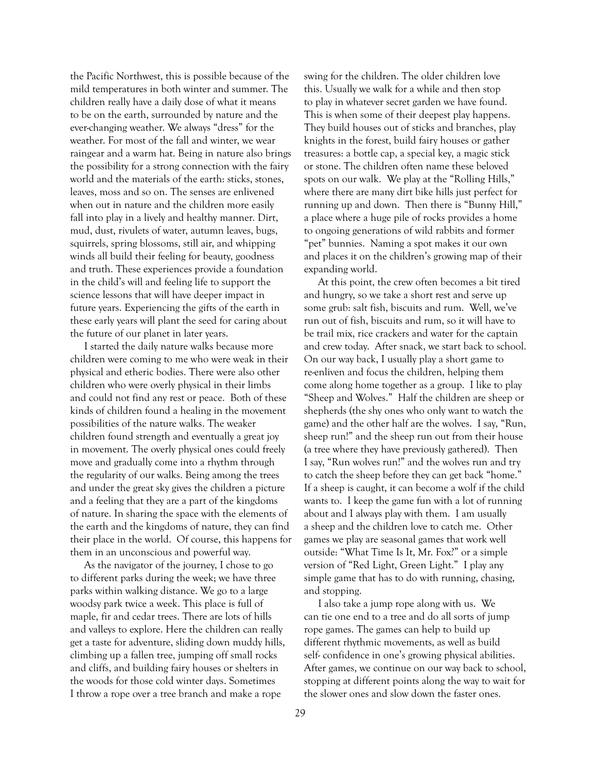the Pacific Northwest, this is possible because of the mild temperatures in both winter and summer. The children really have a daily dose of what it means to be on the earth, surrounded by nature and the ever-changing weather. We always "dress" for the weather. For most of the fall and winter, we wear raingear and a warm hat. Being in nature also brings the possibility for a strong connection with the fairy world and the materials of the earth: sticks, stones, leaves, moss and so on. The senses are enlivened when out in nature and the children more easily fall into play in a lively and healthy manner. Dirt, mud, dust, rivulets of water, autumn leaves, bugs, squirrels, spring blossoms, still air, and whipping winds all build their feeling for beauty, goodness and truth. These experiences provide a foundation in the child's will and feeling life to support the science lessons that will have deeper impact in future years. Experiencing the gifts of the earth in these early years will plant the seed for caring about the future of our planet in later years.

I started the daily nature walks because more children were coming to me who were weak in their physical and etheric bodies. There were also other children who were overly physical in their limbs and could not find any rest or peace. Both of these kinds of children found a healing in the movement possibilities of the nature walks. The weaker children found strength and eventually a great joy in movement. The overly physical ones could freely move and gradually come into a rhythm through the regularity of our walks. Being among the trees and under the great sky gives the children a picture and a feeling that they are a part of the kingdoms of nature. In sharing the space with the elements of the earth and the kingdoms of nature, they can find their place in the world. Of course, this happens for them in an unconscious and powerful way.

As the navigator of the journey, I chose to go to different parks during the week; we have three parks within walking distance. We go to a large woodsy park twice a week. This place is full of maple, fir and cedar trees. There are lots of hills and valleys to explore. Here the children can really get a taste for adventure, sliding down muddy hills, climbing up a fallen tree, jumping off small rocks and cliffs, and building fairy houses or shelters in the woods for those cold winter days. Sometimes I throw a rope over a tree branch and make a rope

swing for the children. The older children love this. Usually we walk for a while and then stop to play in whatever secret garden we have found. This is when some of their deepest play happens. They build houses out of sticks and branches, play knights in the forest, build fairy houses or gather treasures: a bottle cap, a special key, a magic stick or stone. The children often name these beloved spots on our walk. We play at the "Rolling Hills," where there are many dirt bike hills just perfect for running up and down. Then there is "Bunny Hill," a place where a huge pile of rocks provides a home to ongoing generations of wild rabbits and former "pet" bunnies. Naming a spot makes it our own and places it on the children's growing map of their expanding world.

At this point, the crew often becomes a bit tired and hungry, so we take a short rest and serve up some grub: salt fish, biscuits and rum. Well, we've run out of fish, biscuits and rum, so it will have to be trail mix, rice crackers and water for the captain and crew today. After snack, we start back to school. On our way back, I usually play a short game to re-enliven and focus the children, helping them come along home together as a group. I like to play "Sheep and Wolves." Half the children are sheep or shepherds (the shy ones who only want to watch the game) and the other half are the wolves. I say, "Run, sheep run!" and the sheep run out from their house (a tree where they have previously gathered). Then I say, "Run wolves run!" and the wolves run and try to catch the sheep before they can get back "home." If a sheep is caught, it can become a wolf if the child wants to. I keep the game fun with a lot of running about and I always play with them. I am usually a sheep and the children love to catch me. Other games we play are seasonal games that work well outside: "What Time Is It, Mr. Fox?" or a simple version of "Red Light, Green Light." I play any simple game that has to do with running, chasing, and stopping.

I also take a jump rope along with us. We can tie one end to a tree and do all sorts of jump rope games. The games can help to build up different rhythmic movements, as well as build self- confidence in one's growing physical abilities. After games, we continue on our way back to school, stopping at different points along the way to wait for the slower ones and slow down the faster ones.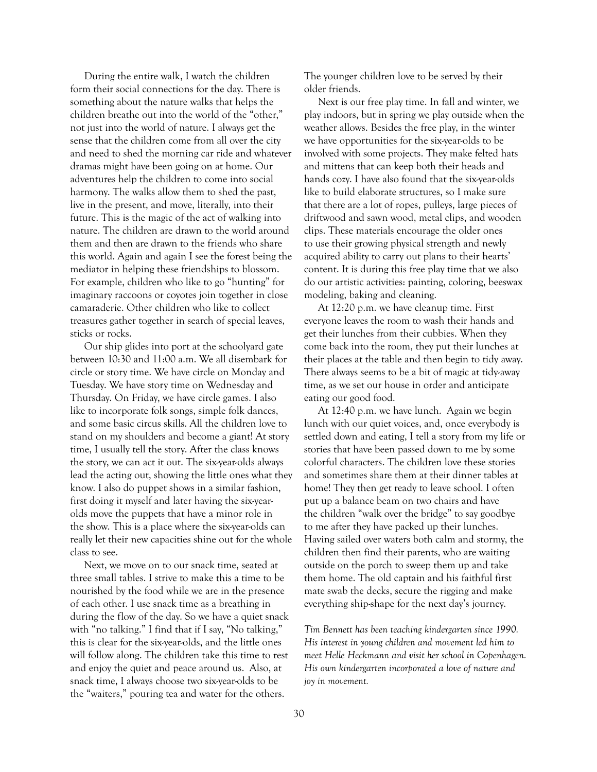During the entire walk, I watch the children form their social connections for the day. There is something about the nature walks that helps the children breathe out into the world of the "other," not just into the world of nature. I always get the sense that the children come from all over the city and need to shed the morning car ride and whatever dramas might have been going on at home. Our adventures help the children to come into social harmony. The walks allow them to shed the past, live in the present, and move, literally, into their future. This is the magic of the act of walking into nature. The children are drawn to the world around them and then are drawn to the friends who share this world. Again and again I see the forest being the mediator in helping these friendships to blossom. For example, children who like to go "hunting" for imaginary raccoons or coyotes join together in close camaraderie. Other children who like to collect treasures gather together in search of special leaves, sticks or rocks.

Our ship glides into port at the schoolyard gate between 10:30 and 11:00 a.m. We all disembark for circle or story time. We have circle on Monday and Tuesday. We have story time on Wednesday and Thursday. On Friday, we have circle games. I also like to incorporate folk songs, simple folk dances, and some basic circus skills. All the children love to stand on my shoulders and become a giant! At story time, I usually tell the story. After the class knows the story, we can act it out. The six-year-olds always lead the acting out, showing the little ones what they know. I also do puppet shows in a similar fashion, first doing it myself and later having the six-yearolds move the puppets that have a minor role in the show. This is a place where the six-year-olds can really let their new capacities shine out for the whole class to see.

Next, we move on to our snack time, seated at three small tables. I strive to make this a time to be nourished by the food while we are in the presence of each other. I use snack time as a breathing in during the flow of the day. So we have a quiet snack with "no talking." I find that if I say, "No talking," this is clear for the six-year-olds, and the little ones will follow along. The children take this time to rest and enjoy the quiet and peace around us. Also, at snack time, I always choose two six-year-olds to be the "waiters," pouring tea and water for the others.

The younger children love to be served by their older friends.

Next is our free play time. In fall and winter, we play indoors, but in spring we play outside when the weather allows. Besides the free play, in the winter we have opportunities for the six-year-olds to be involved with some projects. They make felted hats and mittens that can keep both their heads and hands cozy. I have also found that the six-year-olds like to build elaborate structures, so I make sure that there are a lot of ropes, pulleys, large pieces of driftwood and sawn wood, metal clips, and wooden clips. These materials encourage the older ones to use their growing physical strength and newly acquired ability to carry out plans to their hearts' content. It is during this free play time that we also do our artistic activities: painting, coloring, beeswax modeling, baking and cleaning.

At 12:20 p.m. we have cleanup time. First everyone leaves the room to wash their hands and get their lunches from their cubbies. When they come back into the room, they put their lunches at their places at the table and then begin to tidy away. There always seems to be a bit of magic at tidy-away time, as we set our house in order and anticipate eating our good food.

At 12:40 p.m. we have lunch. Again we begin lunch with our quiet voices, and, once everybody is settled down and eating, I tell a story from my life or stories that have been passed down to me by some colorful characters. The children love these stories and sometimes share them at their dinner tables at home! They then get ready to leave school. I often put up a balance beam on two chairs and have the children "walk over the bridge" to say goodbye to me after they have packed up their lunches. Having sailed over waters both calm and stormy, the children then find their parents, who are waiting outside on the porch to sweep them up and take them home. The old captain and his faithful first mate swab the decks, secure the rigging and make everything ship-shape for the next day's journey.

*Tim Bennett has been teaching kindergarten since 1990. His interest in young children and movement led him to meet Helle Heckmann and visit her school in Copenhagen. His own kindergarten incorporated a love of nature and joy in movement.*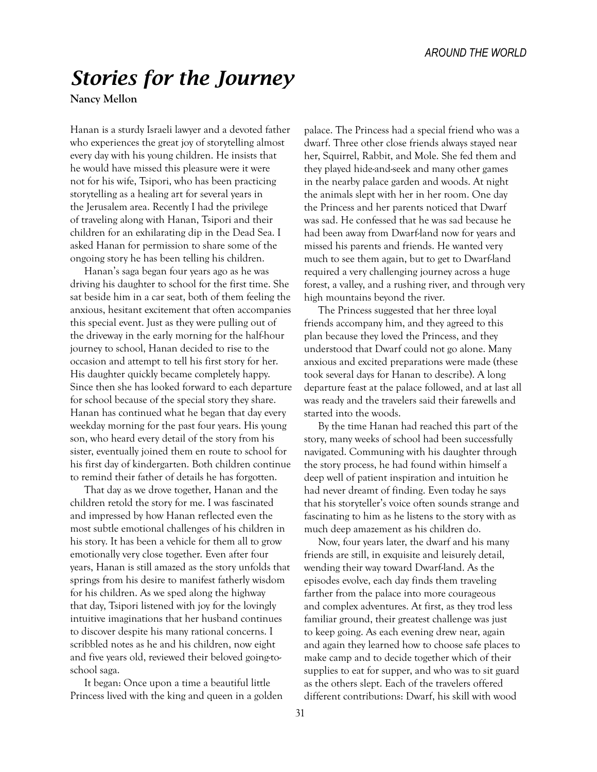# *Stories for the Journey*

**Nancy Mellon**

Hanan is a sturdy Israeli lawyer and a devoted father who experiences the great joy of storytelling almost every day with his young children. He insists that he would have missed this pleasure were it were not for his wife, Tsipori, who has been practicing storytelling as a healing art for several years in the Jerusalem area. Recently I had the privilege of traveling along with Hanan, Tsipori and their children for an exhilarating dip in the Dead Sea. I asked Hanan for permission to share some of the ongoing story he has been telling his children.

Hanan's saga began four years ago as he was driving his daughter to school for the first time. She sat beside him in a car seat, both of them feeling the anxious, hesitant excitement that often accompanies this special event. Just as they were pulling out of the driveway in the early morning for the half-hour journey to school, Hanan decided to rise to the occasion and attempt to tell his first story for her. His daughter quickly became completely happy. Since then she has looked forward to each departure for school because of the special story they share. Hanan has continued what he began that day every weekday morning for the past four years. His young son, who heard every detail of the story from his sister, eventually joined them en route to school for his first day of kindergarten. Both children continue to remind their father of details he has forgotten.

That day as we drove together, Hanan and the children retold the story for me. I was fascinated and impressed by how Hanan reflected even the most subtle emotional challenges of his children in his story. It has been a vehicle for them all to grow emotionally very close together. Even after four years, Hanan is still amazed as the story unfolds that springs from his desire to manifest fatherly wisdom for his children. As we sped along the highway that day, Tsipori listened with joy for the lovingly intuitive imaginations that her husband continues to discover despite his many rational concerns. I scribbled notes as he and his children, now eight and five years old, reviewed their beloved going-toschool saga.

It began: Once upon a time a beautiful little Princess lived with the king and queen in a golden palace. The Princess had a special friend who was a dwarf. Three other close friends always stayed near her, Squirrel, Rabbit, and Mole. She fed them and they played hide-and-seek and many other games in the nearby palace garden and woods. At night the animals slept with her in her room. One day the Princess and her parents noticed that Dwarf was sad. He confessed that he was sad because he had been away from Dwarf-land now for years and missed his parents and friends. He wanted very much to see them again, but to get to Dwarf-land required a very challenging journey across a huge forest, a valley, and a rushing river, and through very high mountains beyond the river.

The Princess suggested that her three loyal friends accompany him, and they agreed to this plan because they loved the Princess, and they understood that Dwarf could not go alone. Many anxious and excited preparations were made (these took several days for Hanan to describe). A long departure feast at the palace followed, and at last all was ready and the travelers said their farewells and started into the woods.

By the time Hanan had reached this part of the story, many weeks of school had been successfully navigated. Communing with his daughter through the story process, he had found within himself a deep well of patient inspiration and intuition he had never dreamt of finding. Even today he says that his storyteller's voice often sounds strange and fascinating to him as he listens to the story with as much deep amazement as his children do.

Now, four years later, the dwarf and his many friends are still, in exquisite and leisurely detail, wending their way toward Dwarf-land. As the episodes evolve, each day finds them traveling farther from the palace into more courageous and complex adventures. At first, as they trod less familiar ground, their greatest challenge was just to keep going. As each evening drew near, again and again they learned how to choose safe places to make camp and to decide together which of their supplies to eat for supper, and who was to sit guard as the others slept. Each of the travelers offered different contributions: Dwarf, his skill with wood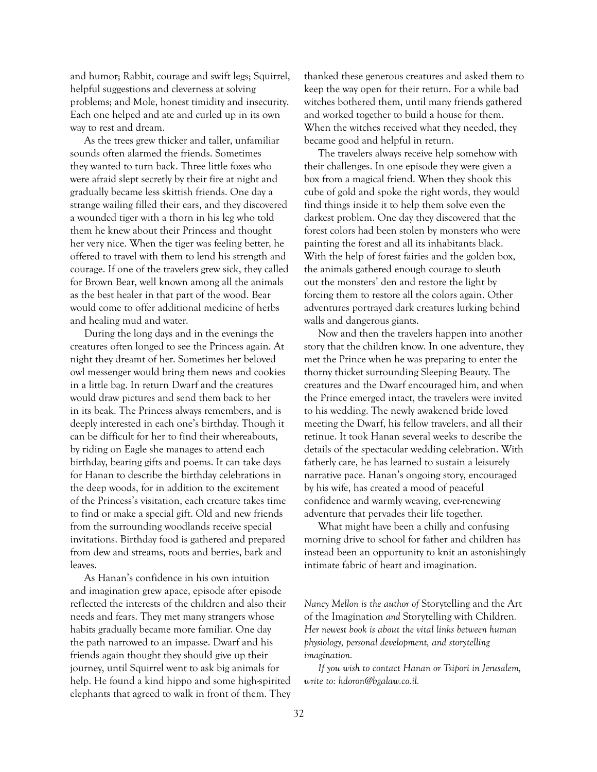and humor; Rabbit, courage and swift legs; Squirrel, helpful suggestions and cleverness at solving problems; and Mole, honest timidity and insecurity. Each one helped and ate and curled up in its own way to rest and dream.

As the trees grew thicker and taller, unfamiliar sounds often alarmed the friends. Sometimes they wanted to turn back. Three little foxes who were afraid slept secretly by their fire at night and gradually became less skittish friends. One day a strange wailing filled their ears, and they discovered a wounded tiger with a thorn in his leg who told them he knew about their Princess and thought her very nice. When the tiger was feeling better, he offered to travel with them to lend his strength and courage. If one of the travelers grew sick, they called for Brown Bear, well known among all the animals as the best healer in that part of the wood. Bear would come to offer additional medicine of herbs and healing mud and water.

During the long days and in the evenings the creatures often longed to see the Princess again. At night they dreamt of her. Sometimes her beloved owl messenger would bring them news and cookies in a little bag. In return Dwarf and the creatures would draw pictures and send them back to her in its beak. The Princess always remembers, and is deeply interested in each one's birthday. Though it can be difficult for her to find their whereabouts, by riding on Eagle she manages to attend each birthday, bearing gifts and poems. It can take days for Hanan to describe the birthday celebrations in the deep woods, for in addition to the excitement of the Princess's visitation, each creature takes time to find or make a special gift. Old and new friends from the surrounding woodlands receive special invitations. Birthday food is gathered and prepared from dew and streams, roots and berries, bark and leaves.

As Hanan's confidence in his own intuition and imagination grew apace, episode after episode reflected the interests of the children and also their needs and fears. They met many strangers whose habits gradually became more familiar. One day the path narrowed to an impasse. Dwarf and his friends again thought they should give up their journey, until Squirrel went to ask big animals for help. He found a kind hippo and some high-spirited elephants that agreed to walk in front of them. They

thanked these generous creatures and asked them to keep the way open for their return. For a while bad witches bothered them, until many friends gathered and worked together to build a house for them. When the witches received what they needed, they became good and helpful in return.

The travelers always receive help somehow with their challenges. In one episode they were given a box from a magical friend. When they shook this cube of gold and spoke the right words, they would find things inside it to help them solve even the darkest problem. One day they discovered that the forest colors had been stolen by monsters who were painting the forest and all its inhabitants black. With the help of forest fairies and the golden box, the animals gathered enough courage to sleuth out the monsters' den and restore the light by forcing them to restore all the colors again. Other adventures portrayed dark creatures lurking behind walls and dangerous giants.

Now and then the travelers happen into another story that the children know. In one adventure, they met the Prince when he was preparing to enter the thorny thicket surrounding Sleeping Beauty. The creatures and the Dwarf encouraged him, and when the Prince emerged intact, the travelers were invited to his wedding. The newly awakened bride loved meeting the Dwarf, his fellow travelers, and all their retinue. It took Hanan several weeks to describe the details of the spectacular wedding celebration. With fatherly care, he has learned to sustain a leisurely narrative pace. Hanan's ongoing story, encouraged by his wife, has created a mood of peaceful confidence and warmly weaving, ever-renewing adventure that pervades their life together.

What might have been a chilly and confusing morning drive to school for father and children has instead been an opportunity to knit an astonishingly intimate fabric of heart and imagination.

*Nancy Mellon is the author of* Storytelling and the Art of the Imagination *and* Storytelling with Children*. Her newest book is about the vital links between human physiology, personal development, and storytelling imagination.*

*If you wish to contact Hanan or Tsipori in Jerusalem, write to: hdoron@bgalaw.co.il.*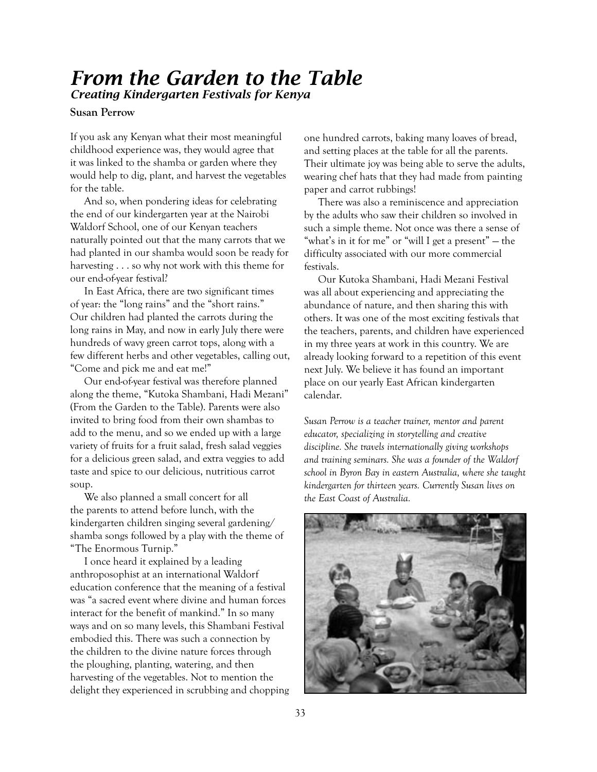## *From the Garden to the Table Creating Kindergarten Festivals for Kenya*

#### **Susan Perrow**

If you ask any Kenyan what their most meaningful childhood experience was, they would agree that it was linked to the shamba or garden where they would help to dig, plant, and harvest the vegetables for the table.

And so, when pondering ideas for celebrating the end of our kindergarten year at the Nairobi Waldorf School, one of our Kenyan teachers naturally pointed out that the many carrots that we had planted in our shamba would soon be ready for harvesting . . . so why not work with this theme for our end-of-year festival?

In East Africa, there are two significant times of year: the "long rains" and the "short rains." Our children had planted the carrots during the long rains in May, and now in early July there were hundreds of wavy green carrot tops, along with a few different herbs and other vegetables, calling out, "Come and pick me and eat me!"

Our end-of-year festival was therefore planned along the theme, "Kutoka Shambani, Hadi Mezani" (From the Garden to the Table). Parents were also invited to bring food from their own shambas to add to the menu, and so we ended up with a large variety of fruits for a fruit salad, fresh salad veggies for a delicious green salad, and extra veggies to add taste and spice to our delicious, nutritious carrot soup.

We also planned a small concert for all the parents to attend before lunch, with the kindergarten children singing several gardening/ shamba songs followed by a play with the theme of "The Enormous Turnip."

I once heard it explained by a leading anthroposophist at an international Waldorf education conference that the meaning of a festival was "a sacred event where divine and human forces interact for the benefit of mankind." In so many ways and on so many levels, this Shambani Festival embodied this. There was such a connection by the children to the divine nature forces through the ploughing, planting, watering, and then harvesting of the vegetables. Not to mention the delight they experienced in scrubbing and chopping

one hundred carrots, baking many loaves of bread, and setting places at the table for all the parents. Their ultimate joy was being able to serve the adults, wearing chef hats that they had made from painting paper and carrot rubbings!

There was also a reminiscence and appreciation by the adults who saw their children so involved in such a simple theme. Not once was there a sense of "what's in it for me" or "will I get a present" — the difficulty associated with our more commercial festivals.

Our Kutoka Shambani, Hadi Mezani Festival was all about experiencing and appreciating the abundance of nature, and then sharing this with others. It was one of the most exciting festivals that the teachers, parents, and children have experienced in my three years at work in this country. We are already looking forward to a repetition of this event next July. We believe it has found an important place on our yearly East African kindergarten calendar.

*Susan Perrow is a teacher trainer, mentor and parent educator, specializing in storytelling and creative discipline. She travels internationally giving workshops and training seminars. She was a founder of the Waldorf school in Byron Bay in eastern Australia, where she taught kindergarten for thirteen years. Currently Susan lives on the East Coast of Australia.*

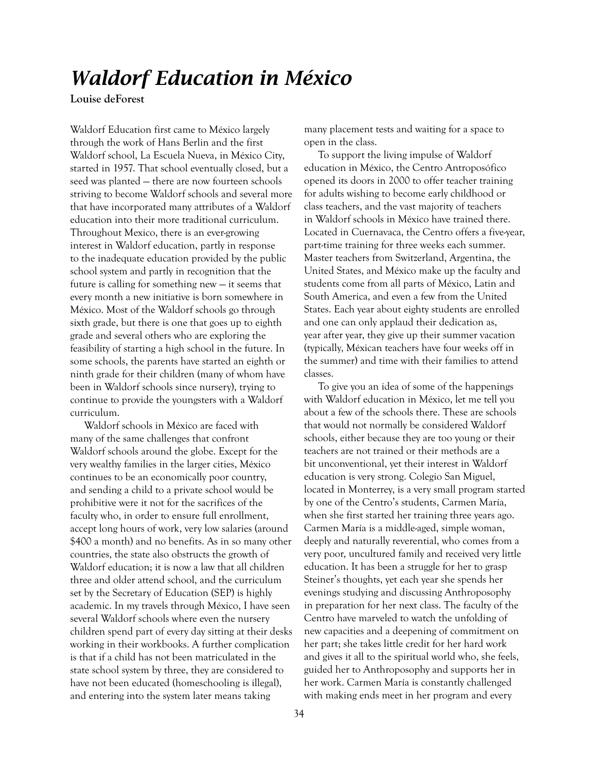# *Waldorf Education in México*

**Louise deForest**

Waldorf Education first came to México largely through the work of Hans Berlin and the first Waldorf school, La Escuela Nueva, in México City, started in 1957. That school eventually closed, but a seed was planted — there are now fourteen schools striving to become Waldorf schools and several more that have incorporated many attributes of a Waldorf education into their more traditional curriculum. Throughout Mexico, there is an ever-growing interest in Waldorf education, partly in response to the inadequate education provided by the public school system and partly in recognition that the future is calling for something new — it seems that every month a new initiative is born somewhere in México. Most of the Waldorf schools go through sixth grade, but there is one that goes up to eighth grade and several others who are exploring the feasibility of starting a high school in the future. In some schools, the parents have started an eighth or ninth grade for their children (many of whom have been in Waldorf schools since nursery), trying to continue to provide the youngsters with a Waldorf curriculum.

Waldorf schools in México are faced with many of the same challenges that confront Waldorf schools around the globe. Except for the very wealthy families in the larger cities, México continues to be an economically poor country, and sending a child to a private school would be prohibitive were it not for the sacrifices of the faculty who, in order to ensure full enrollment, accept long hours of work, very low salaries (around \$400 a month) and no benefits. As in so many other countries, the state also obstructs the growth of Waldorf education; it is now a law that all children three and older attend school, and the curriculum set by the Secretary of Education (SEP) is highly academic. In my travels through México, I have seen several Waldorf schools where even the nursery children spend part of every day sitting at their desks working in their workbooks. A further complication is that if a child has not been matriculated in the state school system by three, they are considered to have not been educated (homeschooling is illegal), and entering into the system later means taking

34

many placement tests and waiting for a space to open in the class.

To support the living impulse of Waldorf education in México, the Centro Antroposófico opened its doors in 2000 to offer teacher training for adults wishing to become early childhood or class teachers, and the vast majority of teachers in Waldorf schools in México have trained there. Located in Cuernavaca, the Centro offers a five-year, part-time training for three weeks each summer. Master teachers from Switzerland, Argentina, the United States, and México make up the faculty and students come from all parts of México, Latin and South America, and even a few from the United States. Each year about eighty students are enrolled and one can only applaud their dedication as, year after year, they give up their summer vacation (typically, Méxican teachers have four weeks off in the summer) and time with their families to attend classes.

To give you an idea of some of the happenings with Waldorf education in México, let me tell you about a few of the schools there. These are schools that would not normally be considered Waldorf schools, either because they are too young or their teachers are not trained or their methods are a bit unconventional, yet their interest in Waldorf education is very strong. Colegio San Miguel, located in Monterrey, is a very small program started by one of the Centro's students, Carmen María, when she first started her training three years ago. Carmen María is a middle-aged, simple woman, deeply and naturally reverential, who comes from a very poor, uncultured family and received very little education. It has been a struggle for her to grasp Steiner's thoughts, yet each year she spends her evenings studying and discussing Anthroposophy in preparation for her next class. The faculty of the Centro have marveled to watch the unfolding of new capacities and a deepening of commitment on her part; she takes little credit for her hard work and gives it all to the spiritual world who, she feels, guided her to Anthroposophy and supports her in her work. Carmen María is constantly challenged with making ends meet in her program and every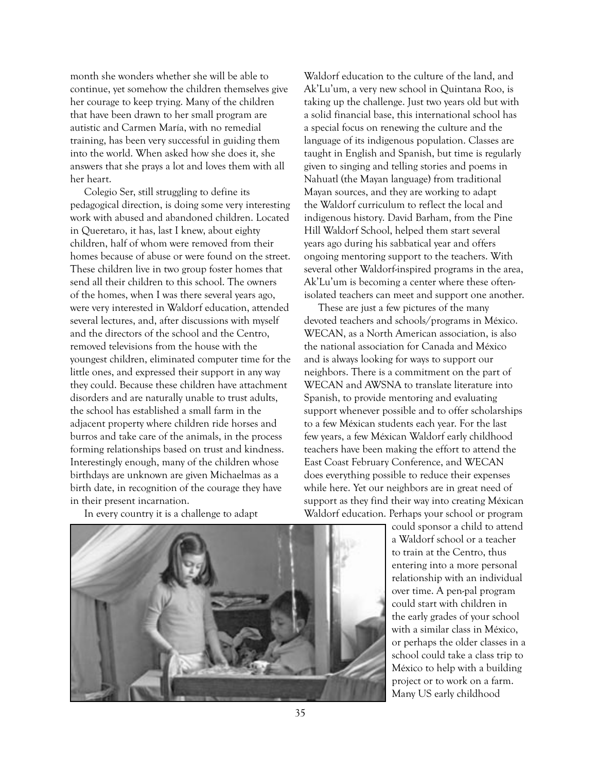month she wonders whether she will be able to continue, yet somehow the children themselves give her courage to keep trying. Many of the children that have been drawn to her small program are autistic and Carmen María, with no remedial training, has been very successful in guiding them into the world. When asked how she does it, she answers that she prays a lot and loves them with all her heart.

Colegio Ser, still struggling to define its pedagogical direction, is doing some very interesting work with abused and abandoned children. Located in Queretaro, it has, last I knew, about eighty children, half of whom were removed from their homes because of abuse or were found on the street. These children live in two group foster homes that send all their children to this school. The owners of the homes, when I was there several years ago, were very interested in Waldorf education, attended several lectures, and, after discussions with myself and the directors of the school and the Centro, removed televisions from the house with the youngest children, eliminated computer time for the little ones, and expressed their support in any way they could. Because these children have attachment disorders and are naturally unable to trust adults, the school has established a small farm in the adjacent property where children ride horses and burros and take care of the animals, in the process forming relationships based on trust and kindness. Interestingly enough, many of the children whose birthdays are unknown are given Michaelmas as a birth date, in recognition of the courage they have in their present incarnation.

Waldorf education to the culture of the land, and Ak'Lu'um, a very new school in Quintana Roo, is taking up the challenge. Just two years old but with a solid financial base, this international school has a special focus on renewing the culture and the language of its indigenous population. Classes are taught in English and Spanish, but time is regularly given to singing and telling stories and poems in Nahuatl (the Mayan language) from traditional Mayan sources, and they are working to adapt the Waldorf curriculum to reflect the local and indigenous history. David Barham, from the Pine Hill Waldorf School, helped them start several years ago during his sabbatical year and offers ongoing mentoring support to the teachers. With several other Waldorf-inspired programs in the area, Ak'Lu'um is becoming a center where these oftenisolated teachers can meet and support one another.

These are just a few pictures of the many devoted teachers and schools/programs in México. WECAN, as a North American association, is also the national association for Canada and México and is always looking for ways to support our neighbors. There is a commitment on the part of WECAN and AWSNA to translate literature into Spanish, to provide mentoring and evaluating support whenever possible and to offer scholarships to a few Méxican students each year. For the last few years, a few Méxican Waldorf early childhood teachers have been making the effort to attend the East Coast February Conference, and WECAN does everything possible to reduce their expenses while here. Yet our neighbors are in great need of support as they find their way into creating Méxican Waldorf education. Perhaps your school or program

could sponsor a child to attend a Waldorf school or a teacher to train at the Centro, thus entering into a more personal relationship with an individual over time. A pen-pal program could start with children in the early grades of your school with a similar class in México, or perhaps the older classes in a school could take a class trip to México to help with a building project or to work on a farm. Many US early childhood

In every country it is a challenge to adapt

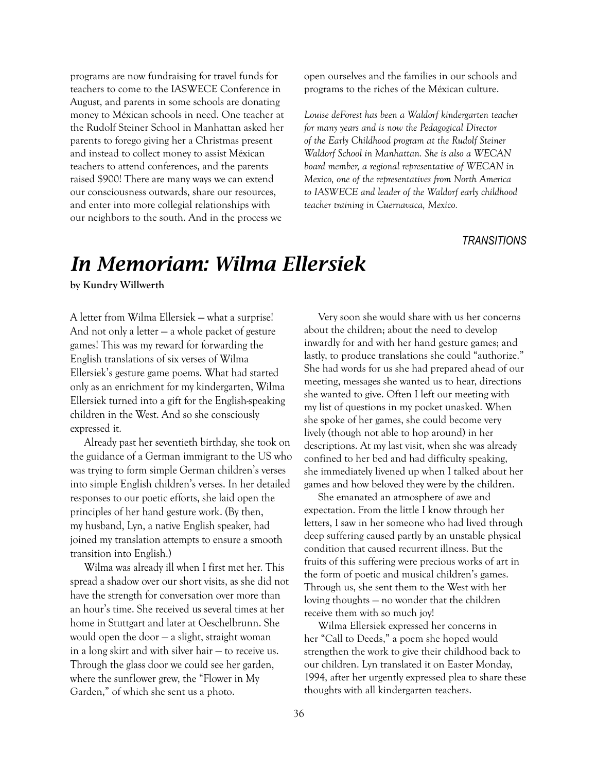programs are now fundraising for travel funds for teachers to come to the IASWECE Conference in August, and parents in some schools are donating money to Méxican schools in need. One teacher at the Rudolf Steiner School in Manhattan asked her parents to forego giving her a Christmas present and instead to collect money to assist Méxican teachers to attend conferences, and the parents raised \$900! There are many ways we can extend our consciousness outwards, share our resources, and enter into more collegial relationships with our neighbors to the south. And in the process we

open ourselves and the families in our schools and programs to the riches of the Méxican culture.

*Louise deForest has been a Waldorf kindergarten teacher for many years and is now the Pedagogical Director of the Early Childhood program at the Rudolf Steiner Waldorf School in Manhattan. She is also a WECAN board member, a regional representative of WECAN in Mexico, one of the representatives from North America to IASWECE and leader of the Waldorf early childhood teacher training in Cuernavaca, Mexico.* 

### *TRANSITIONS*

# *In Memoriam: Wilma Ellersiek*

**by Kundry Willwerth**

A letter from Wilma Ellersiek — what a surprise! And not only a letter — a whole packet of gesture games! This was my reward for forwarding the English translations of six verses of Wilma Ellersiek's gesture game poems. What had started only as an enrichment for my kindergarten, Wilma Ellersiek turned into a gift for the English-speaking children in the West. And so she consciously expressed it.

Already past her seventieth birthday, she took on the guidance of a German immigrant to the US who was trying to form simple German children's verses into simple English children's verses. In her detailed responses to our poetic efforts, she laid open the principles of her hand gesture work. (By then, my husband, Lyn, a native English speaker, had joined my translation attempts to ensure a smooth transition into English.)

Wilma was already ill when I first met her. This spread a shadow over our short visits, as she did not have the strength for conversation over more than an hour's time. She received us several times at her home in Stuttgart and later at Oeschelbrunn. She would open the door — a slight, straight woman in a long skirt and with silver hair — to receive us. Through the glass door we could see her garden, where the sunflower grew, the "Flower in My Garden," of which she sent us a photo.

Very soon she would share with us her concerns about the children; about the need to develop inwardly for and with her hand gesture games; and lastly, to produce translations she could "authorize." She had words for us she had prepared ahead of our meeting, messages she wanted us to hear, directions she wanted to give. Often I left our meeting with my list of questions in my pocket unasked. When she spoke of her games, she could become very lively (though not able to hop around) in her descriptions. At my last visit, when she was already confined to her bed and had difficulty speaking, she immediately livened up when I talked about her games and how beloved they were by the children.

She emanated an atmosphere of awe and expectation. From the little I know through her letters, I saw in her someone who had lived through deep suffering caused partly by an unstable physical condition that caused recurrent illness. But the fruits of this suffering were precious works of art in the form of poetic and musical children's games. Through us, she sent them to the West with her loving thoughts — no wonder that the children receive them with so much joy!

Wilma Ellersiek expressed her concerns in her "Call to Deeds," a poem she hoped would strengthen the work to give their childhood back to our children. Lyn translated it on Easter Monday, 1994, after her urgently expressed plea to share these thoughts with all kindergarten teachers.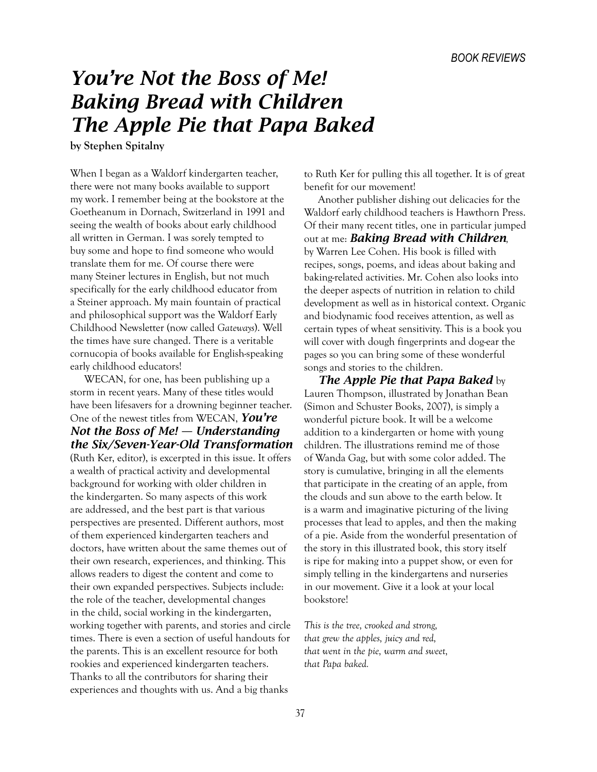# *You're Not the Boss of Me! Baking Bread with Children The Apple Pie that Papa Baked*

**by Stephen Spitalny** 

When I began as a Waldorf kindergarten teacher, there were not many books available to support my work. I remember being at the bookstore at the Goetheanum in Dornach, Switzerland in 1991 and seeing the wealth of books about early childhood all written in German. I was sorely tempted to buy some and hope to find someone who would translate them for me. Of course there were many Steiner lectures in English, but not much specifically for the early childhood educator from a Steiner approach. My main fountain of practical and philosophical support was the Waldorf Early Childhood Newsletter (now called *Gateways*). Well the times have sure changed. There is a veritable cornucopia of books available for English-speaking early childhood educators!

WECAN, for one, has been publishing up a storm in recent years. Many of these titles would have been lifesavers for a drowning beginner teacher. One of the newest titles from WECAN, *You're Not the Boss of Me! — Understanding the Six/Seven-Year-Old Transformation*

(Ruth Ker, editor), is excerpted in this issue. It offers a wealth of practical activity and developmental background for working with older children in the kindergarten. So many aspects of this work are addressed, and the best part is that various perspectives are presented. Different authors, most of them experienced kindergarten teachers and doctors, have written about the same themes out of their own research, experiences, and thinking. This allows readers to digest the content and come to their own expanded perspectives. Subjects include: the role of the teacher, developmental changes in the child, social working in the kindergarten, working together with parents, and stories and circle times. There is even a section of useful handouts for the parents. This is an excellent resource for both rookies and experienced kindergarten teachers. Thanks to all the contributors for sharing their experiences and thoughts with us. And a big thanks

to Ruth Ker for pulling this all together. It is of great benefit for our movement!

Another publisher dishing out delicacies for the Waldorf early childhood teachers is Hawthorn Press. Of their many recent titles, one in particular jumped out at me: *Baking Bread with Children,* by Warren Lee Cohen. His book is filled with recipes, songs, poems, and ideas about baking and baking-related activities. Mr. Cohen also looks into the deeper aspects of nutrition in relation to child development as well as in historical context. Organic and biodynamic food receives attention, as well as certain types of wheat sensitivity. This is a book you will cover with dough fingerprints and dog-ear the pages so you can bring some of these wonderful songs and stories to the children.

*The Apple Pie that Papa Baked* by Lauren Thompson, illustrated by Jonathan Bean (Simon and Schuster Books, 2007), is simply a wonderful picture book. It will be a welcome addition to a kindergarten or home with young children. The illustrations remind me of those of Wanda Gag, but with some color added. The story is cumulative, bringing in all the elements that participate in the creating of an apple, from the clouds and sun above to the earth below. It is a warm and imaginative picturing of the living processes that lead to apples, and then the making of a pie. Aside from the wonderful presentation of the story in this illustrated book, this story itself is ripe for making into a puppet show, or even for simply telling in the kindergartens and nurseries in our movement. Give it a look at your local bookstore!

*This is the tree, crooked and strong, that grew the apples, juicy and red, that went in the pie, warm and sweet, that Papa baked.*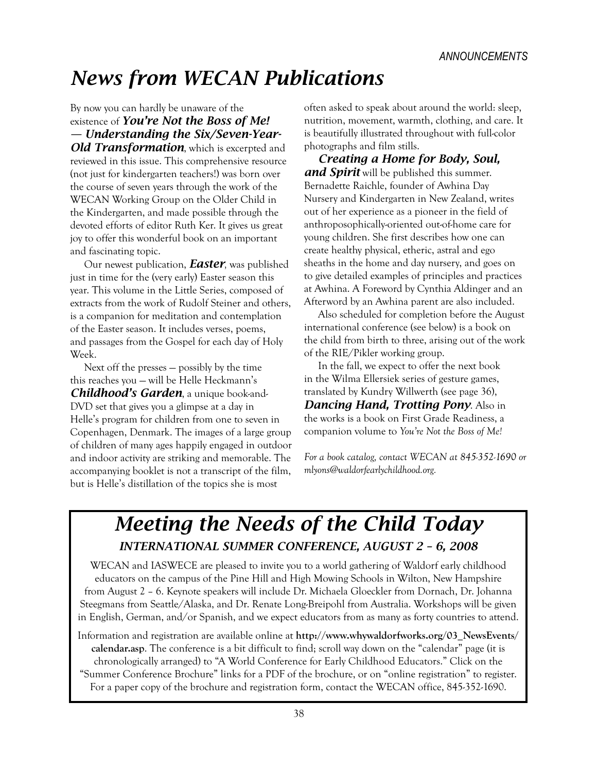# *News from WECAN Publications*

By now you can hardly be unaware of the existence of *You're Not the Boss of Me! — Understanding the Six/Seven-Year-*

*Old Transformation*, which is excerpted and reviewed in this issue. This comprehensive resource (not just for kindergarten teachers!) was born over the course of seven years through the work of the WECAN Working Group on the Older Child in the Kindergarten, and made possible through the devoted efforts of editor Ruth Ker. It gives us great joy to offer this wonderful book on an important and fascinating topic.

Our newest publication, *Easter,* was published just in time for the (very early) Easter season this year. This volume in the Little Series, composed of extracts from the work of Rudolf Steiner and others, is a companion for meditation and contemplation of the Easter season. It includes verses, poems, and passages from the Gospel for each day of Holy Week.

Next off the presses — possibly by the time this reaches you — will be Helle Heckmann's *Childhood's Garden*, a unique book-and-DVD set that gives you a glimpse at a day in Helle's program for children from one to seven in Copenhagen, Denmark. The images of a large group of children of many ages happily engaged in outdoor and indoor activity are striking and memorable. The accompanying booklet is not a transcript of the film, but is Helle's distillation of the topics she is most

often asked to speak about around the world: sleep, nutrition, movement, warmth, clothing, and care. It is beautifully illustrated throughout with full-color photographs and film stills.

*Creating a Home for Body, Soul, and Spirit* will be published this summer. Bernadette Raichle, founder of Awhina Day Nursery and Kindergarten in New Zealand, writes out of her experience as a pioneer in the field of anthroposophically-oriented out-of-home care for young children. She first describes how one can create healthy physical, etheric, astral and ego sheaths in the home and day nursery, and goes on to give detailed examples of principles and practices at Awhina. A Foreword by Cynthia Aldinger and an Afterword by an Awhina parent are also included.

Also scheduled for completion before the August international conference (see below) is a book on the child from birth to three, arising out of the work of the RIE/Pikler working group.

In the fall, we expect to offer the next book in the Wilma Ellersiek series of gesture games, translated by Kundry Willwerth (see page 36), *Dancing Hand, Trotting Pony*. Also in the works is a book on First Grade Readiness, a companion volume to *You're Not the Boss of Me!*

*For a book catalog, contact WECAN at 845-352-1690 or mlyons@waldorfearlychildhood.org.*

# *Meeting the Needs of the Child Today INTERNATIONAL SUMMER CONFERENCE, AUGUST 2 – 6, 2008*

WECAN and IASWECE are pleased to invite you to a world gathering of Waldorf early childhood educators on the campus of the Pine Hill and High Mowing Schools in Wilton, New Hampshire from August 2 – 6. Keynote speakers will include Dr. Michaela Gloeckler from Dornach, Dr. Johanna Steegmans from Seattle/Alaska, and Dr. Renate Long-Breipohl from Australia. Workshops will be given in English, German, and/or Spanish, and we expect educators from as many as forty countries to attend.

Information and registration are available online at **http://www.whywaldorfworks.org/03\_NewsEvents/ calendar.asp**. The conference is a bit difficult to find; scroll way down on the "calendar" page (it is chronologically arranged) to "A World Conference for Early Childhood Educators." Click on the "Summer Conference Brochure" links for a PDF of the brochure, or on "online registration" to register. For a paper copy of the brochure and registration form, contact the WECAN office, 845-352-1690.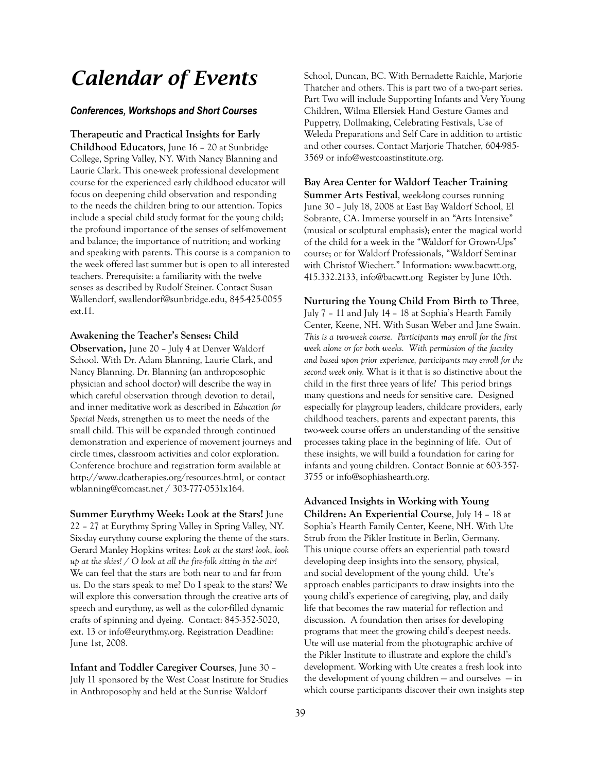# *Calendar of Events*

#### *Conferences, Workshops and Short Courses*

**Therapeutic and Practical Insights for Early Childhood Educators**, June 16 – 20 at Sunbridge College, Spring Valley, NY. With Nancy Blanning and Laurie Clark. This one-week professional development course for the experienced early childhood educator will focus on deepening child observation and responding to the needs the children bring to our attention. Topics include a special child study format for the young child; the profound importance of the senses of self-movement and balance; the importance of nutrition; and working and speaking with parents. This course is a companion to the week offered last summer but is open to all interested teachers. Prerequisite: a familiarity with the twelve senses as described by Rudolf Steiner. Contact Susan Wallendorf, swallendorf@sunbridge.edu, 845-425-0055 ext.11.

#### **Awakening the Teacher's Senses: Child**

**Observation,** June 20 – July 4 at Denver Waldorf School. With Dr. Adam Blanning, Laurie Clark, and Nancy Blanning. Dr. Blanning (an anthroposophic physician and school doctor) will describe the way in which careful observation through devotion to detail, and inner meditative work as described in *Education for Special Needs*, strengthen us to meet the needs of the small child. This will be expanded through continued demonstration and experience of movement journeys and circle times, classroom activities and color exploration. Conference brochure and registration form available at http://www.dcatherapies.org/resources.html, or contact wblanning@comcast.net / 303-777-0531x164.

**Summer Eurythmy Week: Look at the Stars!** June 22 – 27 at Eurythmy Spring Valley in Spring Valley, NY. Six-day eurythmy course exploring the theme of the stars. Gerard Manley Hopkins writes: *Look at the stars! look, look up at the skies! / O look at all the fire-folk sitting in the air!*  We can feel that the stars are both near to and far from us. Do the stars speak to me? Do I speak to the stars? We will explore this conversation through the creative arts of speech and eurythmy, as well as the color-filled dynamic crafts of spinning and dyeing. Contact: 845-352-5020, ext. 13 or info@eurythmy.org. Registration Deadline: June 1st, 2008.

**Infant and Toddler Caregiver Courses**, June 30 – July 11 sponsored by the West Coast Institute for Studies in Anthroposophy and held at the Sunrise Waldorf

School, Duncan, BC. With Bernadette Raichle, Marjorie Thatcher and others. This is part two of a two-part series. Part Two will include Supporting Infants and Very Young Children, Wilma Ellersiek Hand Gesture Games and Puppetry, Dollmaking, Celebrating Festivals, Use of Weleda Preparations and Self Care in addition to artistic and other courses. Contact Marjorie Thatcher, 604-985- 3569 or info@westcoastinstitute.org.

### **Bay Area Center for Waldorf Teacher Training Summer Arts Festival**, week-long courses running June 30 – July 18, 2008 at East Bay Waldorf School, El Sobrante, CA. Immerse yourself in an "Arts Intensive"

(musical or sculptural emphasis); enter the magical world of the child for a week in the "Waldorf for Grown-Ups" course; or for Waldorf Professionals, "Waldorf Seminar with Christof Wiechert." Information: www.bacwtt.org, 415.332.2133, info@bacwtt.org Register by June 10th.

#### **Nurturing the Young Child From Birth to Three**,

July 7 – 11 and July 14 – 18 at Sophia's Hearth Family Center, Keene, NH. With Susan Weber and Jane Swain. *This is a two-week course. Participants may enroll for the first week alone or for both weeks. With permission of the faculty and based upon prior experience, participants may enroll for the second week only.* What is it that is so distinctive about the child in the first three years of life? This period brings many questions and needs for sensitive care. Designed especially for playgroup leaders, childcare providers, early childhood teachers, parents and expectant parents, this two-week course offers an understanding of the sensitive processes taking place in the beginning of life. Out of these insights, we will build a foundation for caring for infants and young children. Contact Bonnie at 603-357- 3755 or info@sophiashearth.org.

**Advanced Insights in Working with Young Children: An Experiential Course**, July 14 – 18 at Sophia's Hearth Family Center, Keene, NH. With Ute Strub from the Pikler Institute in Berlin, Germany. This unique course offers an experiential path toward developing deep insights into the sensory, physical, and social development of the young child. Ute's approach enables participants to draw insights into the young child's experience of caregiving, play, and daily life that becomes the raw material for reflection and discussion. A foundation then arises for developing programs that meet the growing child's deepest needs. Ute will use material from the photographic archive of the Pikler Institute to illustrate and explore the child's development. Working with Ute creates a fresh look into the development of young children — and ourselves — in which course participants discover their own insights step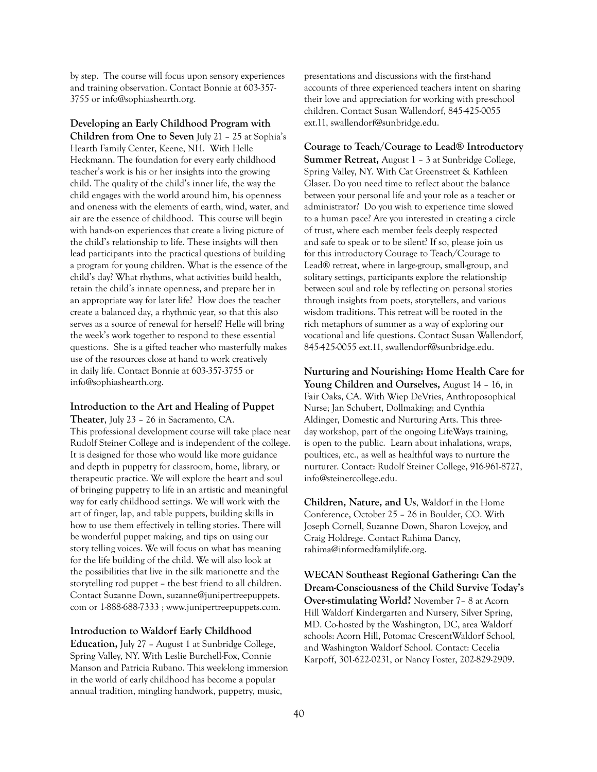by step. The course will focus upon sensory experiences and training observation. Contact Bonnie at 603-357- 3755 or info@sophiashearth.org.

**Developing an Early Childhood Program with Children from One to Seven** July 21 – 25 at Sophia's Hearth Family Center, Keene, NH. With Helle Heckmann. The foundation for every early childhood teacher's work is his or her insights into the growing child. The quality of the child's inner life, the way the child engages with the world around him, his openness and oneness with the elements of earth, wind, water, and air are the essence of childhood. This course will begin with hands-on experiences that create a living picture of the child's relationship to life. These insights will then lead participants into the practical questions of building a program for young children. What is the essence of the child's day? What rhythms, what activities build health, retain the child's innate openness, and prepare her in an appropriate way for later life? How does the teacher create a balanced day, a rhythmic year, so that this also serves as a source of renewal for herself? Helle will bring the week's work together to respond to these essential questions. She is a gifted teacher who masterfully makes use of the resources close at hand to work creatively in daily life. Contact Bonnie at 603-357-3755 or info@sophiashearth.org.

#### **Introduction to the Art and Healing of Puppet**

**Theater**, July 23 – 26 in Sacramento, CA. This professional development course will take place near Rudolf Steiner College and is independent of the college. It is designed for those who would like more guidance and depth in puppetry for classroom, home, library, or therapeutic practice. We will explore the heart and soul of bringing puppetry to life in an artistic and meaningful way for early childhood settings. We will work with the art of finger, lap, and table puppets, building skills in how to use them effectively in telling stories. There will be wonderful puppet making, and tips on using our story telling voices. We will focus on what has meaning for the life building of the child. We will also look at the possibilities that live in the silk marionette and the storytelling rod puppet – the best friend to all children. Contact Suzanne Down, suzanne@junipertreepuppets. com or 1-888-688-7333 ; www.junipertreepuppets.com.

#### **Introduction to Waldorf Early Childhood**

**Education,** July 27 – August 1 at Sunbridge College, Spring Valley, NY. With Leslie Burchell-Fox, Connie Manson and Patricia Rubano. This week-long immersion in the world of early childhood has become a popular annual tradition, mingling handwork, puppetry, music,

presentations and discussions with the first-hand accounts of three experienced teachers intent on sharing their love and appreciation for working with pre-school children. Contact Susan Wallendorf, 845-425-0055 ext.11, swallendorf@sunbridge.edu.

**Courage to Teach/Courage to Lead® Introductory Summer Retreat,** August 1 – 3 at Sunbridge College, Spring Valley, NY. With Cat Greenstreet & Kathleen Glaser. Do you need time to reflect about the balance between your personal life and your role as a teacher or administrator? Do you wish to experience time slowed to a human pace? Are you interested in creating a circle of trust, where each member feels deeply respected and safe to speak or to be silent? If so, please join us for this introductory Courage to Teach/Courage to Lead® retreat, where in large-group, small-group, and solitary settings, participants explore the relationship between soul and role by reflecting on personal stories through insights from poets, storytellers, and various wisdom traditions. This retreat will be rooted in the rich metaphors of summer as a way of exploring our vocational and life questions. Contact Susan Wallendorf, 845-425-0055 ext.11, swallendorf@sunbridge.edu.

**Nurturing and Nourishing: Home Health Care for Young Children and Ourselves,** August 14 – 16, in Fair Oaks, CA. With Wiep DeVries, Anthroposophical Nurse; Jan Schubert, Dollmaking; and Cynthia Aldinger, Domestic and Nurturing Arts. This threeday workshop, part of the ongoing LifeWays training, is open to the public. Learn about inhalations, wraps, poultices, etc., as well as healthful ways to nurture the nurturer. Contact: Rudolf Steiner College, 916-961-8727, info@steinercollege.edu.

**Children, Nature, and Us**, Waldorf in the Home Conference, October 25 – 26 in Boulder, CO. With Joseph Cornell, Suzanne Down, Sharon Lovejoy, and Craig Holdrege. Contact Rahima Dancy, rahima@informedfamilylife.org.

**WECAN Southeast Regional Gathering: Can the Dream-Consciousness of the Child Survive Today's Over-stimulating World?** November 7– 8 at Acorn Hill Waldorf Kindergarten and Nursery, Silver Spring, MD. Co-hosted by the Washington, DC, area Waldorf schools: Acorn Hill, Potomac CrescentWaldorf School, and Washington Waldorf School. Contact: Cecelia Karpoff, 301-622-0231, or Nancy Foster, 202-829-2909.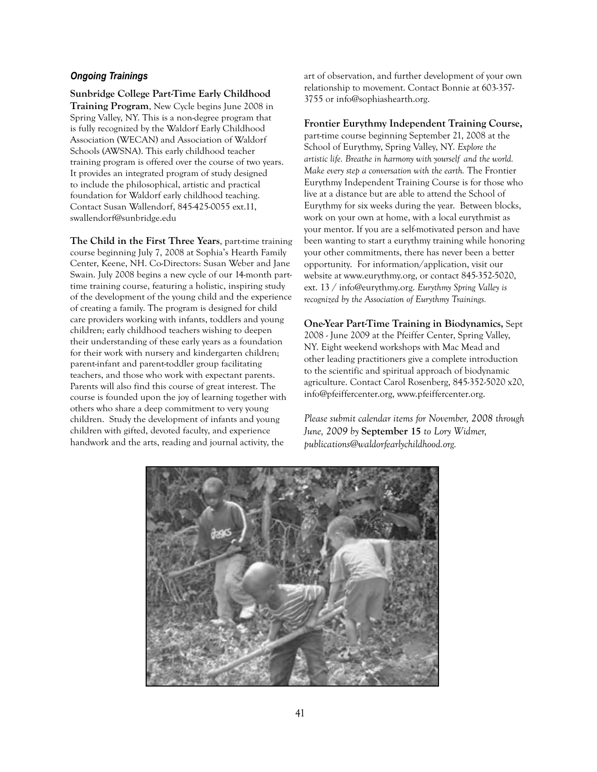#### *Ongoing Trainings*

**Sunbridge College Part-Time Early Childhood Training Program**, New Cycle begins June 2008 in Spring Valley, NY. This is a non-degree program that is fully recognized by the Waldorf Early Childhood Association (WECAN) and Association of Waldorf Schools (AWSNA). This early childhood teacher training program is offered over the course of two years. It provides an integrated program of study designed to include the philosophical, artistic and practical foundation for Waldorf early childhood teaching. Contact Susan Wallendorf, 845-425-0055 ext.11, swallendorf@sunbridge.edu

**The Child in the First Three Years**, part-time training course beginning July 7, 2008 at Sophia's Hearth Family Center, Keene, NH. Co-Directors: Susan Weber and Jane Swain. July 2008 begins a new cycle of our 14-month parttime training course, featuring a holistic, inspiring study of the development of the young child and the experience of creating a family. The program is designed for child care providers working with infants, toddlers and young children; early childhood teachers wishing to deepen their understanding of these early years as a foundation for their work with nursery and kindergarten children; parent-infant and parent-toddler group facilitating teachers, and those who work with expectant parents. Parents will also find this course of great interest. The course is founded upon the joy of learning together with others who share a deep commitment to very young children. Study the development of infants and young children with gifted, devoted faculty, and experience handwork and the arts, reading and journal activity, the

art of observation, and further development of your own relationship to movement. Contact Bonnie at 603-357- 3755 or info@sophiashearth.org.

**Frontier Eurythmy Independent Training Course,** part-time course beginning September 21, 2008 at the School of Eurythmy, Spring Valley, NY. *Explore the artistic life. Breathe in harmony with yourself and the world. Make every step a conversation with the earth.* The Frontier Eurythmy Independent Training Course is for those who live at a distance but are able to attend the School of Eurythmy for six weeks during the year. Between blocks, work on your own at home, with a local eurythmist as your mentor. If you are a self-motivated person and have been wanting to start a eurythmy training while honoring your other commitments, there has never been a better opportunity. For information/application, visit our website at www.eurythmy.org, or contact 845-352-5020, ext. 13 / info@eurythmy.org. *Eurythmy Spring Valley is recognized by the Association of Eurythmy Trainings.*

**One-Year Part-Time Training in Biodynamics,** Sept 2008 - June 2009 at the Pfeiffer Center, Spring Valley, NY. Eight weekend workshops with Mac Mead and other leading practitioners give a complete introduction to the scientific and spiritual approach of biodynamic agriculture. Contact Carol Rosenberg, 845-352-5020 x20, info@pfeiffercenter.org, www.pfeiffercenter.org.

*Please submit calendar items for November, 2008 through June, 2009 by* **September 15** *to Lory Widmer, publications@waldorfearlychildhood.org.*

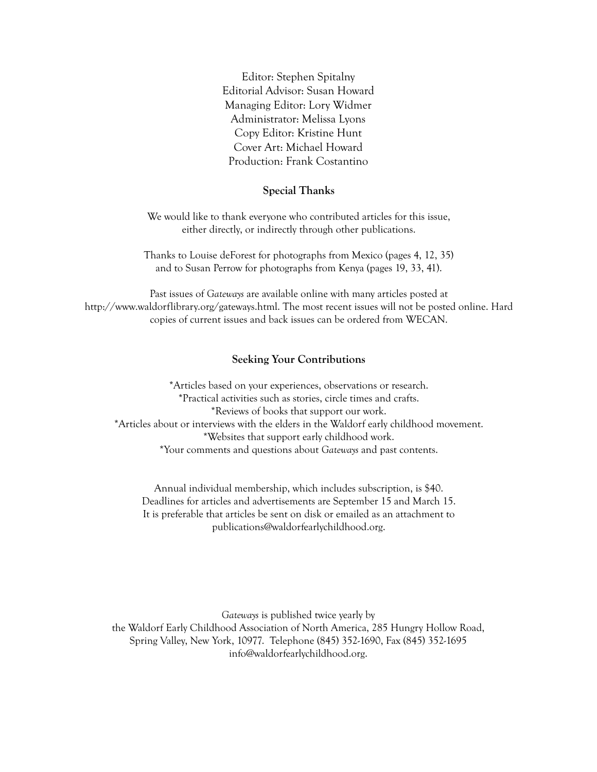Editor: Stephen Spitalny Editorial Advisor: Susan Howard Managing Editor: Lory Widmer Administrator: Melissa Lyons Copy Editor: Kristine Hunt Cover Art: Michael Howard Production: Frank Costantino

### **Special Thanks**

We would like to thank everyone who contributed articles for this issue, either directly, or indirectly through other publications.

Thanks to Louise deForest for photographs from Mexico (pages 4, 12, 35) and to Susan Perrow for photographs from Kenya (pages 19, 33, 41).

Past issues of *Gateways* are available online with many articles posted at http://www.waldorflibrary.org/gateways.html. The most recent issues will not be posted online. Hard copies of current issues and back issues can be ordered from WECAN.

### **Seeking Your Contributions**

\*Articles based on your experiences, observations or research. \*Practical activities such as stories, circle times and crafts. \*Reviews of books that support our work. \*Articles about or interviews with the elders in the Waldorf early childhood movement. \*Websites that support early childhood work. \*Your comments and questions about *Gateways* and past contents.

Annual individual membership, which includes subscription, is \$40. Deadlines for articles and advertisements are September 15 and March 15. It is preferable that articles be sent on disk or emailed as an attachment to publications@waldorfearlychildhood.org.

*Gateways* is published twice yearly by the Waldorf Early Childhood Association of North America, 285 Hungry Hollow Road, Spring Valley, New York, 10977. Telephone (845) 352-1690, Fax (845) 352-1695 info@waldorfearlychildhood.org.